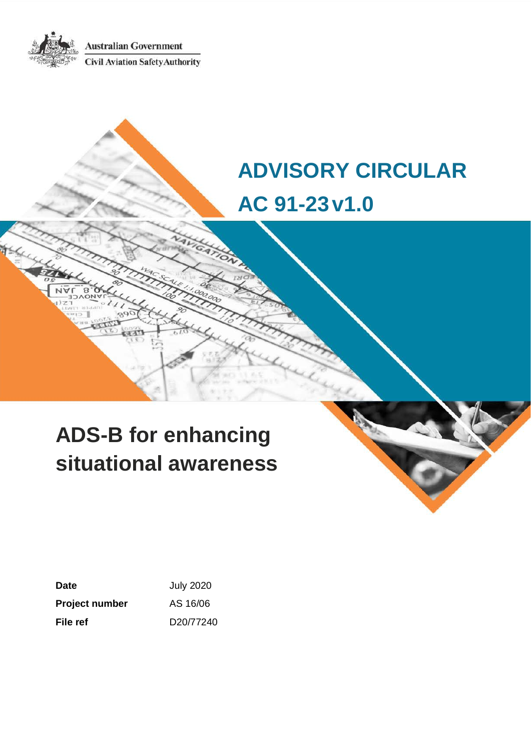**Australian Government Civil Aviation Safety Authority** 

# **ADVISORY CIRCULAR AC 91-23v1.0**

# **ADS-B for enhancing situational awareness**

| Date                  | <b>July 2020</b> |
|-----------------------|------------------|
| <b>Project number</b> | AS 16/06         |
| File ref              | D20/77240        |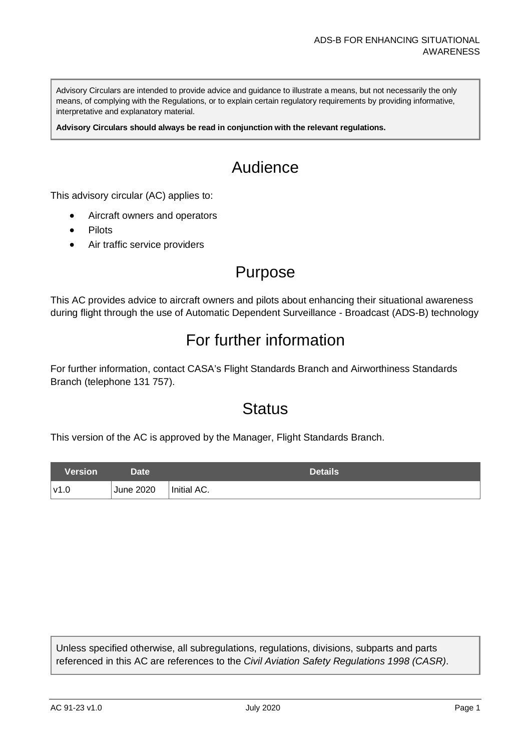Advisory Circulars are intended to provide advice and guidance to illustrate a means, but not necessarily the only means, of complying with the Regulations, or to explain certain regulatory requirements by providing informative, interpretative and explanatory material.

**Advisory Circulars should always be read in conjunction with the relevant regulations.**

### Audience

This advisory circular (AC) applies to:

- Aircraft owners and operators
- **Pilots**
- Air traffic service providers

### Purpose

This AC provides advice to aircraft owners and pilots about enhancing their situational awareness during flight through the use of Automatic Dependent Surveillance - Broadcast (ADS-B) technology

### For further information

For further information, contact CASA's Flight Standards Branch and Airworthiness Standards Branch (telephone 131 757).

### **Status**

This version of the AC is approved by the Manager, Flight Standards Branch.

| Version | Date <sup>1</sup> | Details     |
|---------|-------------------|-------------|
| v1.0    | <b>June 2020</b>  | Initial AC. |

Unless specified otherwise, all subregulations, regulations, divisions, subparts and parts referenced in this AC are references to the *Civil Aviation Safety Regulations 1998 (CASR)*.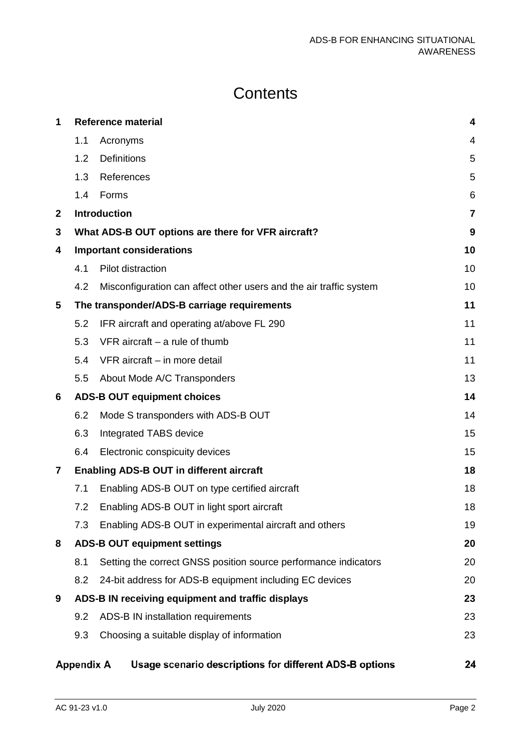### **Contents**

| 1            |                   | <b>Reference material</b>                                          | 4              |
|--------------|-------------------|--------------------------------------------------------------------|----------------|
|              | 1.1               | Acronyms                                                           | 4              |
|              | 1.2               | <b>Definitions</b>                                                 | 5              |
|              | 1.3               | References                                                         | 5              |
|              | 1.4               | Forms                                                              | 6              |
| $\mathbf{2}$ |                   | <b>Introduction</b>                                                | $\overline{7}$ |
| 3            |                   | What ADS-B OUT options are there for VFR aircraft?                 | 9              |
| 4            |                   | <b>Important considerations</b>                                    | 10             |
|              | 4.1               | Pilot distraction                                                  | 10             |
|              | 4.2               | Misconfiguration can affect other users and the air traffic system | 10             |
| 5            |                   | The transponder/ADS-B carriage requirements                        | 11             |
|              | 5.2               | IFR aircraft and operating at/above FL 290                         | 11             |
|              | 5.3               | $VFR$ aircraft – a rule of thumb                                   | 11             |
|              | 5.4               | VFR aircraft - in more detail                                      | 11             |
|              | 5.5               | About Mode A/C Transponders                                        | 13             |
| 6            |                   | <b>ADS-B OUT equipment choices</b>                                 | 14             |
|              | 6.2               | Mode S transponders with ADS-B OUT                                 | 14             |
|              | 6.3               | Integrated TABS device                                             | 15             |
|              | 6.4               | Electronic conspicuity devices                                     | 15             |
| 7            |                   | <b>Enabling ADS-B OUT in different aircraft</b>                    | 18             |
|              | 7.1               | Enabling ADS-B OUT on type certified aircraft                      | 18             |
|              | 7.2               | Enabling ADS-B OUT in light sport aircraft                         | 18             |
|              | 7.3               | Enabling ADS-B OUT in experimental aircraft and others             | 19             |
| 8            |                   | <b>ADS-B OUT equipment settings</b>                                | 20             |
|              | 8.1               | Setting the correct GNSS position source performance indicators    | 20             |
|              | 8.2               | 24-bit address for ADS-B equipment including EC devices            | 20             |
| 9            |                   | ADS-B IN receiving equipment and traffic displays                  | 23             |
|              | 9.2               | ADS-B IN installation requirements                                 | 23             |
|              | 9.3               | Choosing a suitable display of information                         | 23             |
|              | <b>Appendix A</b> | Usage scenario descriptions for different ADS-B options            | 24             |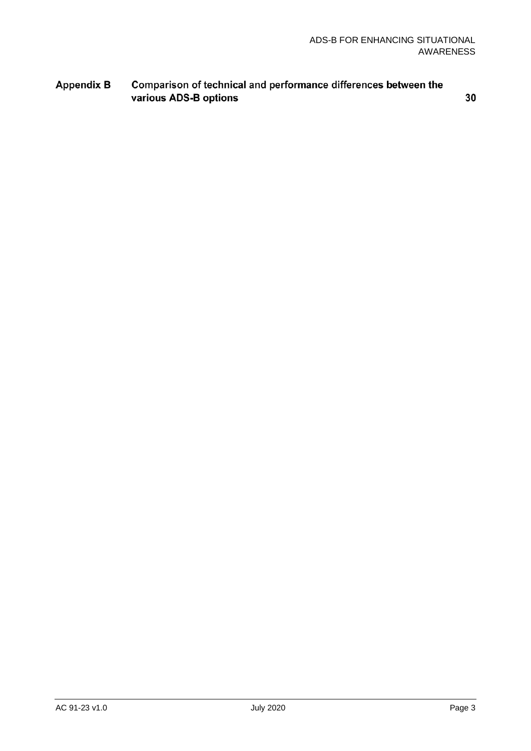#### **Appendix B** Comparison of technical and performance differences between the various ADS-B options

30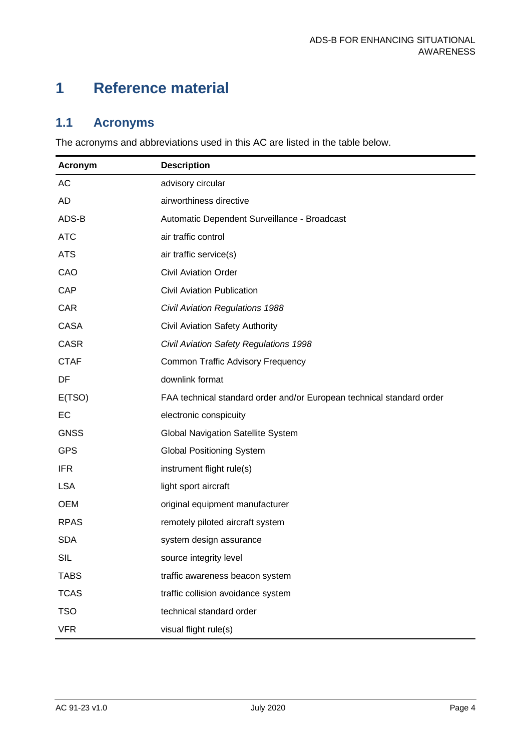### <span id="page-4-0"></span>**1 Reference material**

### <span id="page-4-1"></span>**1.1 Acronyms**

The acronyms and abbreviations used in this AC are listed in the table below.

| <b>Acronym</b> | <b>Description</b>                                                    |
|----------------|-----------------------------------------------------------------------|
| AC             | advisory circular                                                     |
| <b>AD</b>      | airworthiness directive                                               |
| ADS-B          | Automatic Dependent Surveillance - Broadcast                          |
| <b>ATC</b>     | air traffic control                                                   |
| <b>ATS</b>     | air traffic service(s)                                                |
| CAO            | <b>Civil Aviation Order</b>                                           |
| <b>CAP</b>     | <b>Civil Aviation Publication</b>                                     |
| CAR            | <b>Civil Aviation Regulations 1988</b>                                |
| <b>CASA</b>    | Civil Aviation Safety Authority                                       |
| <b>CASR</b>    | Civil Aviation Safety Regulations 1998                                |
| <b>CTAF</b>    | <b>Common Traffic Advisory Frequency</b>                              |
| DF             | downlink format                                                       |
| E(TSO)         | FAA technical standard order and/or European technical standard order |
| EC             | electronic conspicuity                                                |
| <b>GNSS</b>    | <b>Global Navigation Satellite System</b>                             |
| <b>GPS</b>     | <b>Global Positioning System</b>                                      |
| <b>IFR</b>     | instrument flight rule(s)                                             |
| <b>LSA</b>     | light sport aircraft                                                  |
| <b>OEM</b>     | original equipment manufacturer                                       |
| <b>RPAS</b>    | remotely piloted aircraft system                                      |
| <b>SDA</b>     | system design assurance                                               |
| <b>SIL</b>     | source integrity level                                                |
| <b>TABS</b>    | traffic awareness beacon system                                       |
| <b>TCAS</b>    | traffic collision avoidance system                                    |
| <b>TSO</b>     | technical standard order                                              |
| <b>VFR</b>     | visual flight rule(s)                                                 |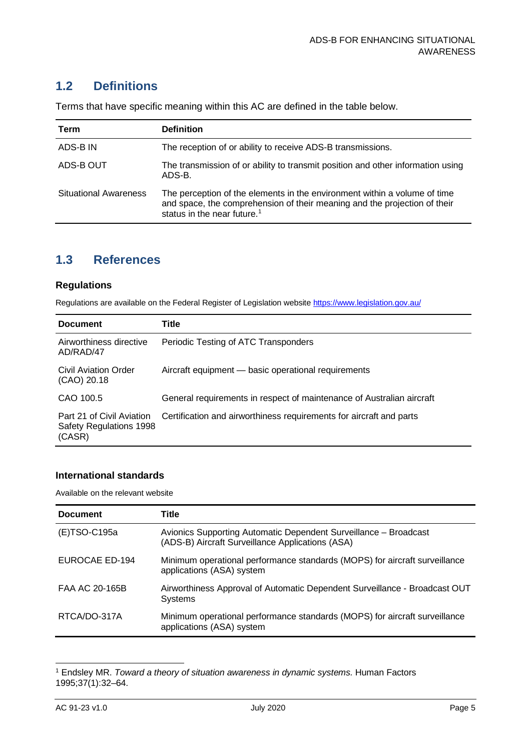#### <span id="page-5-0"></span>**1.2 Definitions**

| Term                         | <b>Definition</b>                                                                                                                                                                                 |
|------------------------------|---------------------------------------------------------------------------------------------------------------------------------------------------------------------------------------------------|
| ADS-B IN                     | The reception of or ability to receive ADS-B transmissions.                                                                                                                                       |
| ADS-B OUT                    | The transmission of or ability to transmit position and other information using<br>ADS-B.                                                                                                         |
| <b>Situational Awareness</b> | The perception of the elements in the environment within a volume of time<br>and space, the comprehension of their meaning and the projection of their<br>status in the near future. <sup>1</sup> |

Terms that have specific meaning within this AC are defined in the table below.

#### <span id="page-5-1"></span>**1.3 References**

#### **Regulations**

Regulations are available on the Federal Register of Legislation website<https://www.legislation.gov.au/>

| <b>Document</b>                                                | Title                                                                 |
|----------------------------------------------------------------|-----------------------------------------------------------------------|
| Airworthiness directive<br>AD/RAD/47                           | Periodic Testing of ATC Transponders                                  |
| Civil Aviation Order<br>(CAO) 20.18                            | Aircraft equipment - basic operational requirements                   |
| CAO 100.5                                                      | General requirements in respect of maintenance of Australian aircraft |
| Part 21 of Civil Aviation<br>Safety Regulations 1998<br>(CASR) | Certification and airworthiness requirements for aircraft and parts   |

#### **International standards**

Available on the relevant website

| <b>Document</b> | Title                                                                                                                |
|-----------------|----------------------------------------------------------------------------------------------------------------------|
| (E)TSO-C195a    | Avionics Supporting Automatic Dependent Surveillance - Broadcast<br>(ADS-B) Aircraft Surveillance Applications (ASA) |
| EUROCAE ED-194  | Minimum operational performance standards (MOPS) for aircraft surveillance<br>applications (ASA) system              |
| FAA AC 20-165B  | Airworthiness Approval of Automatic Dependent Surveillance - Broadcast OUT<br><b>Systems</b>                         |
| RTCA/DO-317A    | Minimum operational performance standards (MOPS) for aircraft surveillance<br>applications (ASA) system              |

<span id="page-5-2"></span><sup>1</sup> Endsley MR. *Toward a theory of situation awareness in dynamic systems.* Human Factors 1995;37(1):32–64.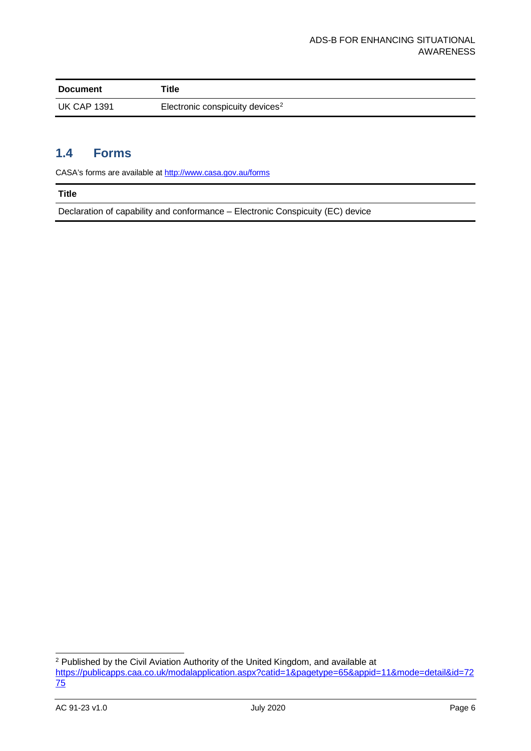| <b>Document</b>    | Title                                       |
|--------------------|---------------------------------------------|
| <b>UK CAP 1391</b> | Electronic conspicuity devices <sup>2</sup> |

#### <span id="page-6-0"></span>**1.4 Forms**

CASA's forms are available a[t http://www.casa.gov.au/forms](http://www.casa.gov.au/forms)

#### **Title**

Declaration of capability and conformance – Electronic Conspicuity (EC) device

<span id="page-6-1"></span> $2$  Published by the Civil Aviation Authority of the United Kingdom, and available at [https://publicapps.caa.co.uk/modalapplication.aspx?catid=1&pagetype=65&appid=11&mode=detail&id=72](https://publicapps.caa.co.uk/modalapplication.aspx?catid=1&pagetype=65&appid=11&mode=detail&id=7275) [75](https://publicapps.caa.co.uk/modalapplication.aspx?catid=1&pagetype=65&appid=11&mode=detail&id=7275)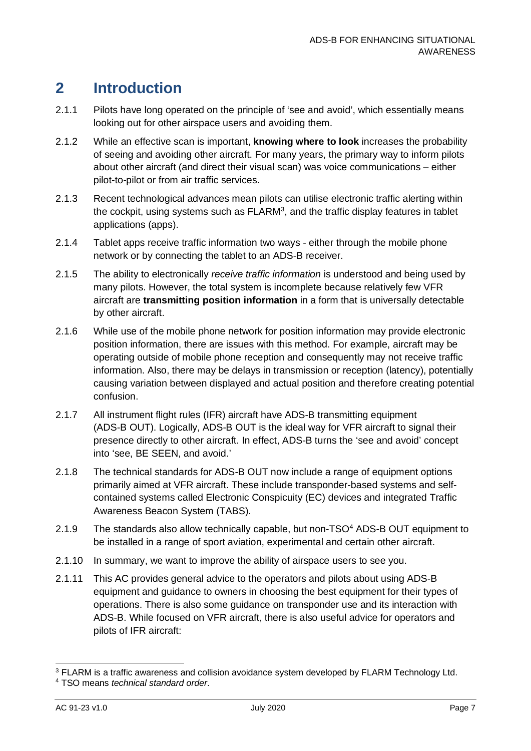### <span id="page-7-0"></span>**2 Introduction**

- 2.1.1 Pilots have long operated on the principle of 'see and avoid', which essentially means looking out for other airspace users and avoiding them.
- 2.1.2 While an effective scan is important, **knowing where to look** increases the probability of seeing and avoiding other aircraft. For many years, the primary way to inform pilots about other aircraft (and direct their visual scan) was voice communications – either pilot-to-pilot or from air traffic services.
- 2.1.3 Recent technological advances mean pilots can utilise electronic traffic alerting within the cockpit, using systems such as  $FLARM<sup>3</sup>$  $FLARM<sup>3</sup>$  $FLARM<sup>3</sup>$ , and the traffic display features in tablet applications (apps).
- 2.1.4 Tablet apps receive traffic information two ways either through the mobile phone network or by connecting the tablet to an ADS-B receiver.
- 2.1.5 The ability to electronically *receive traffic information* is understood and being used by many pilots. However, the total system is incomplete because relatively few VFR aircraft are **transmitting position information** in a form that is universally detectable by other aircraft.
- 2.1.6 While use of the mobile phone network for position information may provide electronic position information, there are issues with this method. For example, aircraft may be operating outside of mobile phone reception and consequently may not receive traffic information. Also, there may be delays in transmission or reception (latency), potentially causing variation between displayed and actual position and therefore creating potential confusion.
- 2.1.7 All instrument flight rules (IFR) aircraft have ADS-B transmitting equipment (ADS-B OUT). Logically, ADS-B OUT is the ideal way for VFR aircraft to signal their presence directly to other aircraft. In effect, ADS-B turns the 'see and avoid' concept into 'see, BE SEEN, and avoid.'
- 2.1.8 The technical standards for ADS-B OUT now include a range of equipment options primarily aimed at VFR aircraft. These include transponder-based systems and selfcontained systems called Electronic Conspicuity (EC) devices and integrated Traffic Awareness Beacon System (TABS).
- 2.1.9 The standards also allow technically capable, but non-TSO<sup>[4](#page-7-2)</sup> ADS-B OUT equipment to be installed in a range of sport aviation, experimental and certain other aircraft.
- 2.1.10 In summary, we want to improve the ability of airspace users to see you.
- 2.1.11 This AC provides general advice to the operators and pilots about using ADS-B equipment and guidance to owners in choosing the best equipment for their types of operations. There is also some guidance on transponder use and its interaction with ADS-B. While focused on VFR aircraft, there is also useful advice for operators and pilots of IFR aircraft:

<span id="page-7-1"></span><sup>&</sup>lt;sup>3</sup> FLARM is a traffic awareness and collision avoidance system developed by FLARM Technology Ltd.

<span id="page-7-2"></span><sup>4</sup> TSO means *technical standard order*.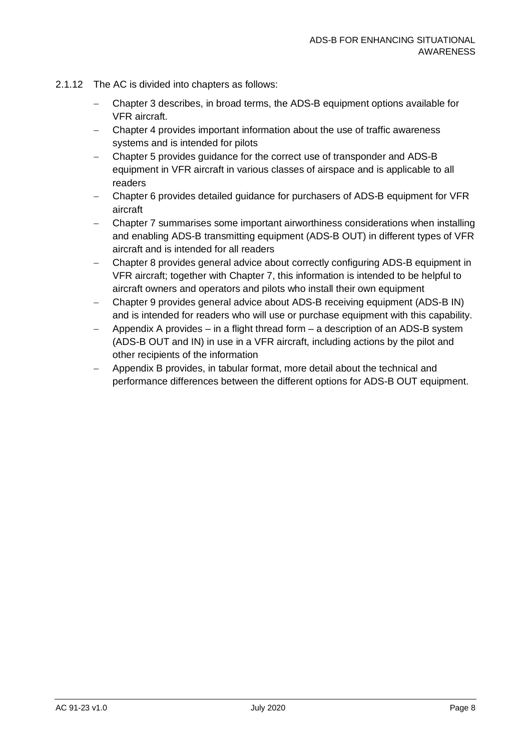- 2.1.12 The AC is divided into chapters as follows:
	- − Chapter [3](#page-9-0) describes, in broad terms, the ADS-B equipment options available for VFR aircraft.
	- − Chapter [4](#page-10-0) provides important information about the use of traffic awareness systems and is intended for pilots
	- − Chapter [5](#page-11-0) provides guidance for the correct use of transponder and ADS-B equipment in VFR aircraft in various classes of airspace and is applicable to all readers
	- − Chapter [6](#page-14-0) provides detailed guidance for purchasers of ADS-B equipment for VFR aircraft
	- − Chapter [7](#page-18-0) summarises some important airworthiness considerations when installing and enabling ADS-B transmitting equipment (ADS-B OUT) in different types of VFR aircraft and is intended for all readers
	- − Chapter [8](#page-20-0) provides general advice about correctly configuring ADS-B equipment in VFR aircraft; together with Chapter [7,](#page-18-0) this information is intended to be helpful to aircraft owners and operators and pilots who install their own equipment
	- − Chapter [9](#page-23-0) provides general advice about ADS-B receiving equipment (ADS-B IN) and is intended for readers who will use or purchase equipment with this capability.
	- − Appendix A provides in a flight thread form a description of an ADS-B system (ADS-B OUT and IN) in use in a VFR aircraft, including actions by the pilot and other recipients of the information
	- − Appendix B provides, in tabular format, more detail about the technical and performance differences between the different options for ADS-B OUT equipment.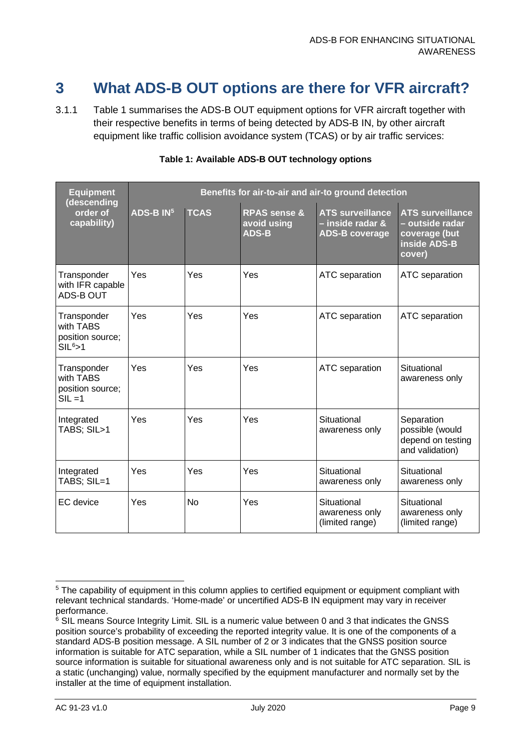### <span id="page-9-0"></span>**3 What ADS-B OUT options are there for VFR aircraft?**

3.1.1 [Table 1](#page-9-1) summarises the ADS-B OUT equipment options for VFR aircraft together with their respective benefits in terms of being detected by ADS-B IN, by other aircraft equipment like traffic collision avoidance system (TCAS) or by air traffic services:

<span id="page-9-1"></span>

| <b>Equipment</b><br>(descending                            | Benefits for air-to-air and air-to ground detection |             |                                                        |                                                                      |                                                                                              |  |
|------------------------------------------------------------|-----------------------------------------------------|-------------|--------------------------------------------------------|----------------------------------------------------------------------|----------------------------------------------------------------------------------------------|--|
| order of<br>capability)                                    | $ADS-B$ $IN5$                                       | <b>TCAS</b> | <b>RPAS sense &amp;</b><br>avoid using<br><b>ADS-B</b> | <b>ATS surveillance</b><br>- inside radar &<br><b>ADS-B coverage</b> | <b>ATS surveillance</b><br><u>- outside radar</u><br>coverage (but<br>inside ADS-B<br>cover) |  |
| Transponder<br>with IFR capable<br><b>ADS-BOUT</b>         | Yes                                                 | Yes         | Yes                                                    | ATC separation                                                       | ATC separation                                                                               |  |
| Transponder<br>with TABS<br>position source;<br>$SIL6$ > 1 | Yes                                                 | Yes         | Yes                                                    | ATC separation                                                       | ATC separation                                                                               |  |
| Transponder<br>with TABS<br>position source;<br>$SIL = 1$  | Yes                                                 | Yes         | Yes                                                    | ATC separation                                                       | Situational<br>awareness only                                                                |  |
| Integrated<br>TABS; SIL>1                                  | Yes                                                 | Yes         | Yes                                                    | Situational<br>awareness only                                        | Separation<br>possible (would<br>depend on testing<br>and validation)                        |  |
| Integrated<br>TABS; SIL=1                                  | Yes                                                 | Yes         | Yes                                                    | Situational<br>awareness only                                        | Situational<br>awareness only                                                                |  |
| EC device                                                  | Yes                                                 | <b>No</b>   | Yes                                                    | Situational<br>awareness only<br>(limited range)                     | Situational<br>awareness only<br>(limited range)                                             |  |

#### **Table 1: Available ADS-B OUT technology options**

<span id="page-9-2"></span><sup>&</sup>lt;sup>5</sup> The capability of equipment in this column applies to certified equipment or equipment compliant with relevant technical standards. 'Home-made' or uncertified ADS-B IN equipment may vary in receiver performance.

<span id="page-9-3"></span> $6$  SIL means Source Integrity Limit. SIL is a numeric value between 0 and 3 that indicates the GNSS position source's probability of exceeding the reported integrity value. It is one of the components of a standard ADS-B position message. A SIL number of 2 or 3 indicates that the GNSS position source information is suitable for ATC separation, while a SIL number of 1 indicates that the GNSS position source information is suitable for situational awareness only and is not suitable for ATC separation. SIL is a static (unchanging) value, normally specified by the equipment manufacturer and normally set by the installer at the time of equipment installation.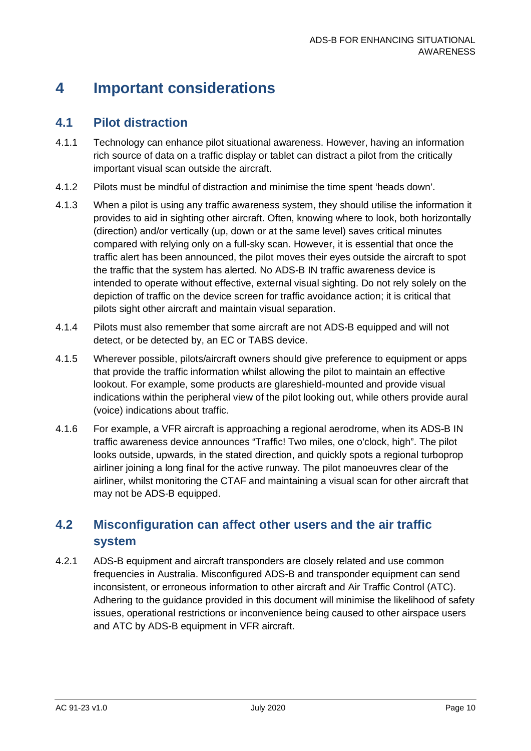### <span id="page-10-0"></span>**4 Important considerations**

#### <span id="page-10-1"></span>**4.1 Pilot distraction**

- 4.1.1 Technology can enhance pilot situational awareness. However, having an information rich source of data on a traffic display or tablet can distract a pilot from the critically important visual scan outside the aircraft.
- 4.1.2 Pilots must be mindful of distraction and minimise the time spent 'heads down'.
- 4.1.3 When a pilot is using any traffic awareness system, they should utilise the information it provides to aid in sighting other aircraft. Often, knowing where to look, both horizontally (direction) and/or vertically (up, down or at the same level) saves critical minutes compared with relying only on a full-sky scan. However, it is essential that once the traffic alert has been announced, the pilot moves their eyes outside the aircraft to spot the traffic that the system has alerted. No ADS-B IN traffic awareness device is intended to operate without effective, external visual sighting. Do not rely solely on the depiction of traffic on the device screen for traffic avoidance action; it is critical that pilots sight other aircraft and maintain visual separation.
- 4.1.4 Pilots must also remember that some aircraft are not ADS-B equipped and will not detect, or be detected by, an EC or TABS device.
- 4.1.5 Wherever possible, pilots/aircraft owners should give preference to equipment or apps that provide the traffic information whilst allowing the pilot to maintain an effective lookout. For example, some products are glareshield-mounted and provide visual indications within the peripheral view of the pilot looking out, while others provide aural (voice) indications about traffic.
- 4.1.6 For example, a VFR aircraft is approaching a regional aerodrome, when its ADS-B IN traffic awareness device announces "Traffic! Two miles, one o'clock, high". The pilot looks outside, upwards, in the stated direction, and quickly spots a regional turboprop airliner joining a long final for the active runway. The pilot manoeuvres clear of the airliner, whilst monitoring the CTAF and maintaining a visual scan for other aircraft that may not be ADS-B equipped.

#### <span id="page-10-2"></span>**4.2 Misconfiguration can affect other users and the air traffic system**

4.2.1 ADS-B equipment and aircraft transponders are closely related and use common frequencies in Australia. Misconfigured ADS-B and transponder equipment can send inconsistent, or erroneous information to other aircraft and Air Traffic Control (ATC). Adhering to the guidance provided in this document will minimise the likelihood of safety issues, operational restrictions or inconvenience being caused to other airspace users and ATC by ADS-B equipment in VFR aircraft.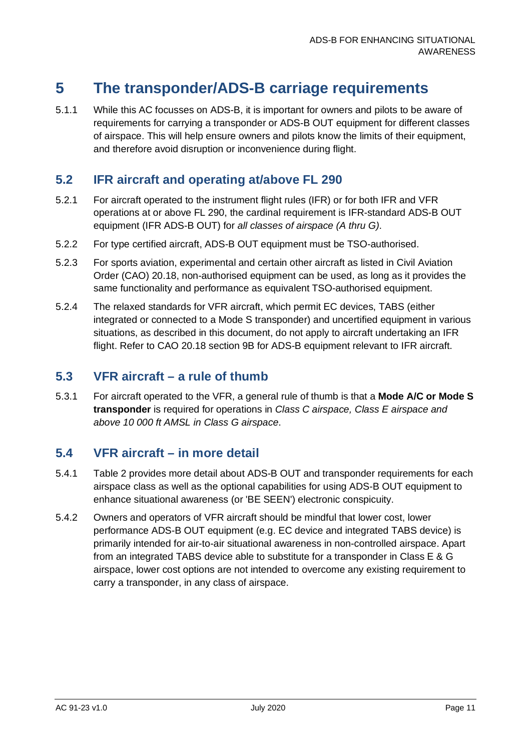### <span id="page-11-0"></span>**5 The transponder/ADS-B carriage requirements**

5.1.1 While this AC focusses on ADS-B, it is important for owners and pilots to be aware of requirements for carrying a transponder or ADS-B OUT equipment for different classes of airspace. This will help ensure owners and pilots know the limits of their equipment, and therefore avoid disruption or inconvenience during flight.

#### <span id="page-11-1"></span>**5.2 IFR aircraft and operating at/above FL 290**

- 5.2.1 For aircraft operated to the instrument flight rules (IFR) or for both IFR and VFR operations at or above FL 290, the cardinal requirement is IFR-standard ADS-B OUT equipment (IFR ADS-B OUT) for *all classes of airspace (A thru G)*.
- 5.2.2 For type certified aircraft, ADS-B OUT equipment must be TSO-authorised.
- 5.2.3 For sports aviation, experimental and certain other aircraft as listed in Civil Aviation Order (CAO) 20.18, non-authorised equipment can be used, as long as it provides the same functionality and performance as equivalent TSO-authorised equipment.
- 5.2.4 The relaxed standards for VFR aircraft, which permit EC devices, TABS (either integrated or connected to a Mode S transponder) and uncertified equipment in various situations, as described in this document, do not apply to aircraft undertaking an IFR flight. Refer to CAO 20.18 section 9B for ADS-B equipment relevant to IFR aircraft.

#### <span id="page-11-2"></span>**5.3 VFR aircraft – a rule of thumb**

5.3.1 For aircraft operated to the VFR, a general rule of thumb is that a **Mode A/C or Mode S transponder** is required for operations in *Class C airspace, Class E airspace and above 10 000 ft AMSL in Class G airspace*.

#### <span id="page-11-3"></span>**5.4 VFR aircraft – in more detail**

- 5.4.1 [Table 2](#page-12-0) provides more detail about ADS-B OUT and transponder requirements for each airspace class as well as the optional capabilities for using ADS-B OUT equipment to enhance situational awareness (or 'BE SEEN') electronic conspicuity.
- 5.4.2 Owners and operators of VFR aircraft should be mindful that lower cost, lower performance ADS-B OUT equipment (e.g. EC device and integrated TABS device) is primarily intended for air-to-air situational awareness in non-controlled airspace. Apart from an integrated TABS device able to substitute for a transponder in Class E & G airspace, lower cost options are not intended to overcome any existing requirement to carry a transponder, in any class of airspace.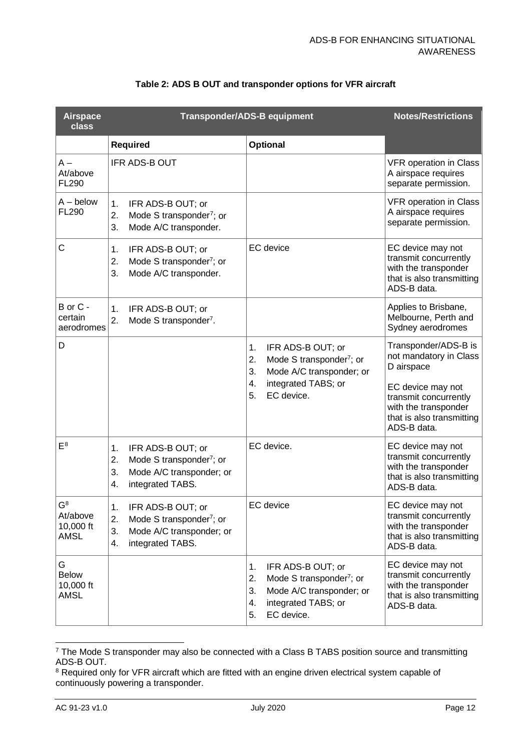<span id="page-12-0"></span>

| <b>Airspace</b><br>class                      |                                                                                                                                   | <b>Transponder/ADS-B equipment</b>                                                                                                                       | <b>Notes/Restrictions</b>                                                                                                                                                      |
|-----------------------------------------------|-----------------------------------------------------------------------------------------------------------------------------------|----------------------------------------------------------------------------------------------------------------------------------------------------------|--------------------------------------------------------------------------------------------------------------------------------------------------------------------------------|
|                                               | <b>Required</b>                                                                                                                   | Optional                                                                                                                                                 |                                                                                                                                                                                |
| $A -$<br>At/above<br>FL290                    | IFR ADS-B OUT                                                                                                                     |                                                                                                                                                          | <b>VFR operation in Class</b><br>A airspace requires<br>separate permission.                                                                                                   |
| $A -$ below<br><b>FL290</b>                   | IFR ADS-B OUT; or<br>1.<br>2.<br>Mode S transponder <sup>7</sup> ; or<br>3.<br>Mode A/C transponder.                              |                                                                                                                                                          | <b>VFR operation in Class</b><br>A airspace requires<br>separate permission.                                                                                                   |
| C                                             | 1.<br>IFR ADS-B OUT; or<br>2.<br>Mode S transponder <sup>7</sup> ; or<br>3.<br>Mode A/C transponder.                              | EC device                                                                                                                                                | EC device may not<br>transmit concurrently<br>with the transponder<br>that is also transmitting<br>ADS-B data.                                                                 |
| B or C -<br>certain<br>aerodromes             | 1.<br>IFR ADS-B OUT; or<br>2.<br>Mode S transponder <sup>7</sup> .                                                                |                                                                                                                                                          | Applies to Brisbane,<br>Melbourne, Perth and<br>Sydney aerodromes                                                                                                              |
| D                                             |                                                                                                                                   | IFR ADS-B OUT; or<br>1.<br>Mode S transponder <sup>7</sup> ; or<br>2.<br>3.<br>Mode A/C transponder; or<br>integrated TABS; or<br>4.<br>EC device.<br>5. | Transponder/ADS-B is<br>not mandatory in Class<br>D airspace<br>EC device may not<br>transmit concurrently<br>with the transponder<br>that is also transmitting<br>ADS-B data. |
| $E^8$                                         | IFR ADS-B OUT; or<br>1.<br>Mode S transponder <sup>7</sup> ; or<br>2.<br>3.<br>Mode A/C transponder; or<br>integrated TABS.<br>4. | EC device.                                                                                                                                               | EC device may not<br>transmit concurrently<br>with the transponder<br>that is also transmitting<br>ADS-B data.                                                                 |
| $G^8$<br>At/above<br>10,000 ft<br><b>AMSL</b> | IFR ADS-B OUT; or<br>1.<br>2.<br>Mode S transponder <sup>7</sup> ; or<br>3.<br>Mode A/C transponder; or<br>4.<br>integrated TABS. | EC device                                                                                                                                                | EC device may not<br>transmit concurrently<br>with the transponder<br>that is also transmitting<br>ADS-B data.                                                                 |
| G<br><b>Below</b><br>10,000 ft<br><b>AMSL</b> |                                                                                                                                   | 1.<br>IFR ADS-B OUT; or<br>2.<br>Mode S transponder <sup>7</sup> ; or<br>3.<br>Mode A/C transponder; or<br>integrated TABS; or<br>4.<br>EC device.<br>5. | EC device may not<br>transmit concurrently<br>with the transponder<br>that is also transmitting<br>ADS-B data.                                                                 |

#### <span id="page-12-1"></span>**Table 2: ADS B OUT and transponder options for VFR aircraft**

<span id="page-12-3"></span><span id="page-12-2"></span> $7$  The Mode S transponder may also be connected with a Class B TABS position source and transmitting ADS-B OUT.

<span id="page-12-4"></span><sup>&</sup>lt;sup>8</sup> Required only for VFR aircraft which are fitted with an engine driven electrical system capable of continuously powering a transponder.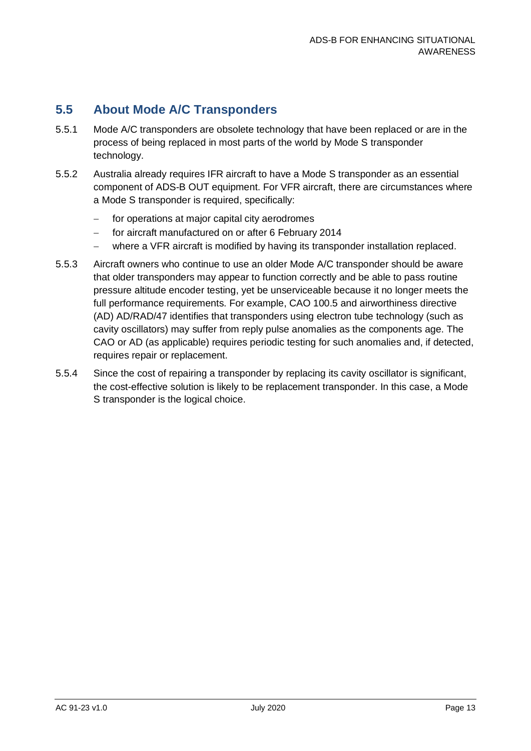#### <span id="page-13-0"></span>**5.5 About Mode A/C Transponders**

- 5.5.1 Mode A/C transponders are obsolete technology that have been replaced or are in the process of being replaced in most parts of the world by Mode S transponder technology.
- 5.5.2 Australia already requires IFR aircraft to have a Mode S transponder as an essential component of ADS-B OUT equipment. For VFR aircraft, there are circumstances where a Mode S transponder is required, specifically:
	- − for operations at major capital city aerodromes
	- − for aircraft manufactured on or after 6 February 2014
	- − where a VFR aircraft is modified by having its transponder installation replaced.
- 5.5.3 Aircraft owners who continue to use an older Mode A/C transponder should be aware that older transponders may appear to function correctly and be able to pass routine pressure altitude encoder testing, yet be unserviceable because it no longer meets the full performance requirements. For example, CAO 100.5 and airworthiness directive (AD) AD/RAD/47 identifies that transponders using electron tube technology (such as cavity oscillators) may suffer from reply pulse anomalies as the components age. The CAO or AD (as applicable) requires periodic testing for such anomalies and, if detected, requires repair or replacement.
- 5.5.4 Since the cost of repairing a transponder by replacing its cavity oscillator is significant, the cost-effective solution is likely to be replacement transponder. In this case, a Mode S transponder is the logical choice.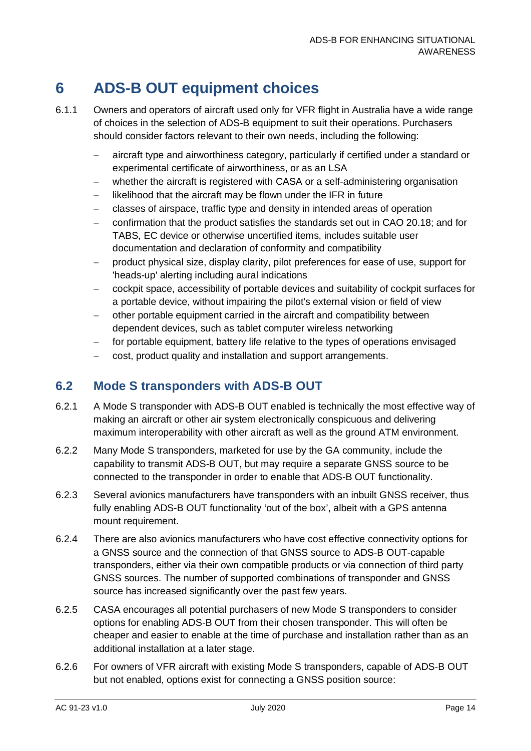### <span id="page-14-0"></span>**6 ADS-B OUT equipment choices**

- 6.1.1 Owners and operators of aircraft used only for VFR flight in Australia have a wide range of choices in the selection of ADS-B equipment to suit their operations. Purchasers should consider factors relevant to their own needs, including the following:
	- − aircraft type and airworthiness category, particularly if certified under a standard or experimental certificate of airworthiness, or as an LSA
	- − whether the aircraft is registered with CASA or a self-administering organisation
	- likelihood that the aircraft may be flown under the IFR in future
	- − classes of airspace, traffic type and density in intended areas of operation
	- − confirmation that the product satisfies the standards set out in CAO 20.18; and for TABS, EC device or otherwise uncertified items, includes suitable user documentation and declaration of conformity and compatibility
	- − product physical size, display clarity, pilot preferences for ease of use, support for 'heads-up' alerting including aural indications
	- − cockpit space, accessibility of portable devices and suitability of cockpit surfaces for a portable device, without impairing the pilot's external vision or field of view
	- other portable equipment carried in the aircraft and compatibility between dependent devices, such as tablet computer wireless networking
	- − for portable equipment, battery life relative to the types of operations envisaged
	- − cost, product quality and installation and support arrangements.

#### <span id="page-14-1"></span>**6.2 Mode S transponders with ADS-B OUT**

- 6.2.1 A Mode S transponder with ADS-B OUT enabled is technically the most effective way of making an aircraft or other air system electronically conspicuous and delivering maximum interoperability with other aircraft as well as the ground ATM environment.
- 6.2.2 Many Mode S transponders, marketed for use by the GA community, include the capability to transmit ADS-B OUT, but may require a separate GNSS source to be connected to the transponder in order to enable that ADS-B OUT functionality.
- 6.2.3 Several avionics manufacturers have transponders with an inbuilt GNSS receiver, thus fully enabling ADS-B OUT functionality 'out of the box', albeit with a GPS antenna mount requirement.
- 6.2.4 There are also avionics manufacturers who have cost effective connectivity options for a GNSS source and the connection of that GNSS source to ADS-B OUT-capable transponders, either via their own compatible products or via connection of third party GNSS sources. The number of supported combinations of transponder and GNSS source has increased significantly over the past few years.
- 6.2.5 CASA encourages all potential purchasers of new Mode S transponders to consider options for enabling ADS-B OUT from their chosen transponder. This will often be cheaper and easier to enable at the time of purchase and installation rather than as an additional installation at a later stage.
- 6.2.6 For owners of VFR aircraft with existing Mode S transponders, capable of ADS-B OUT but not enabled, options exist for connecting a GNSS position source: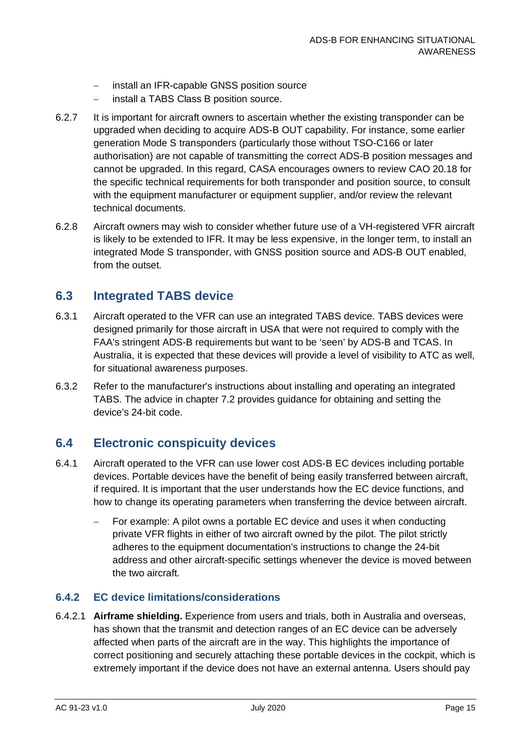- − install an IFR-capable GNSS position source
- install a TABS Class B position source.
- 6.2.7 It is important for aircraft owners to ascertain whether the existing transponder can be upgraded when deciding to acquire ADS-B OUT capability. For instance, some earlier generation Mode S transponders (particularly those without TSO-C166 or later authorisation) are not capable of transmitting the correct ADS-B position messages and cannot be upgraded. In this regard, CASA encourages owners to review CAO 20.18 for the specific technical requirements for both transponder and position source, to consult with the equipment manufacturer or equipment supplier, and/or review the relevant technical documents.
- 6.2.8 Aircraft owners may wish to consider whether future use of a VH-registered VFR aircraft is likely to be extended to IFR. It may be less expensive, in the longer term, to install an integrated Mode S transponder, with GNSS position source and ADS-B OUT enabled, from the outset.

#### <span id="page-15-0"></span>**6.3 Integrated TABS device**

- 6.3.1 Aircraft operated to the VFR can use an integrated TABS device. TABS devices were designed primarily for those aircraft in USA that were not required to comply with the FAA's stringent ADS-B requirements but want to be 'seen' by ADS-B and TCAS. In Australia, it is expected that these devices will provide a level of visibility to ATC as well, for situational awareness purposes.
- 6.3.2 Refer to the manufacturer's instructions about installing and operating an integrated TABS. The advice in chapter [7.2](#page-20-2) provides guidance for obtaining and setting the device's 24-bit code.

#### <span id="page-15-1"></span>**6.4 Electronic conspicuity devices**

- 6.4.1 Aircraft operated to the VFR can use lower cost ADS-B EC devices including portable devices. Portable devices have the benefit of being easily transferred between aircraft, if required. It is important that the user understands how the EC device functions, and how to change its operating parameters when transferring the device between aircraft.
	- For example: A pilot owns a portable EC device and uses it when conducting private VFR flights in either of two aircraft owned by the pilot. The pilot strictly adheres to the equipment documentation's instructions to change the 24-bit address and other aircraft-specific settings whenever the device is moved between the two aircraft.

#### **6.4.2 EC device limitations/considerations**

6.4.2.1 **Airframe shielding.** Experience from users and trials, both in Australia and overseas, has shown that the transmit and detection ranges of an EC device can be adversely affected when parts of the aircraft are in the way. This highlights the importance of correct positioning and securely attaching these portable devices in the cockpit, which is extremely important if the device does not have an external antenna. Users should pay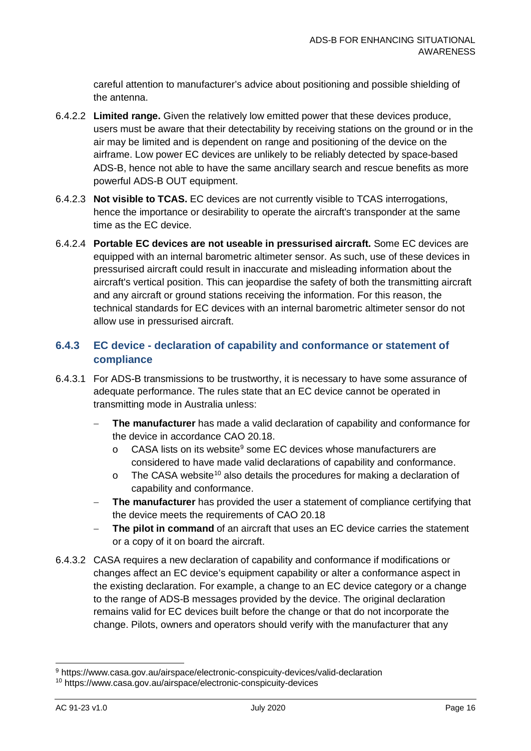careful attention to manufacturer's advice about positioning and possible shielding of the antenna.

- 6.4.2.2 **Limited range.** Given the relatively low emitted power that these devices produce, users must be aware that their detectability by receiving stations on the ground or in the air may be limited and is dependent on range and positioning of the device on the airframe. Low power EC devices are unlikely to be reliably detected by space-based ADS-B, hence not able to have the same ancillary search and rescue benefits as more powerful ADS-B OUT equipment.
- 6.4.2.3 **Not visible to TCAS.** EC devices are not currently visible to TCAS interrogations, hence the importance or desirability to operate the aircraft's transponder at the same time as the EC device.
- 6.4.2.4 **Portable EC devices are not useable in pressurised aircraft.** Some EC devices are equipped with an internal barometric altimeter sensor. As such, use of these devices in pressurised aircraft could result in inaccurate and misleading information about the aircraft's vertical position. This can jeopardise the safety of both the transmitting aircraft and any aircraft or ground stations receiving the information. For this reason, the technical standards for EC devices with an internal barometric altimeter sensor do not allow use in pressurised aircraft.

#### **6.4.3 EC device - declaration of capability and conformance or statement of compliance**

- 6.4.3.1 For ADS-B transmissions to be trustworthy, it is necessary to have some assurance of adequate performance. The rules state that an EC device cannot be operated in transmitting mode in Australia unless:
	- **The manufacturer** has made a valid declaration of capability and conformance for the device in accordance CAO 20.18.
		- o CASA lists on its website<sup>[9](#page-16-0)</sup> some EC devices whose manufacturers are considered to have made valid declarations of capability and conformance.
		- o The CASA website<sup>[10](#page-16-1)</sup> also details the procedures for making a declaration of capability and conformance.
	- − **The manufacturer** has provided the user a statement of compliance certifying that the device meets the requirements of CAO 20.18
	- The pilot in command of an aircraft that uses an EC device carries the statement or a copy of it on board the aircraft.
- 6.4.3.2 CASA requires a new declaration of capability and conformance if modifications or changes affect an EC device's equipment capability or alter a conformance aspect in the existing declaration. For example, a change to an EC device category or a change to the range of ADS-B messages provided by the device. The original declaration remains valid for EC devices built before the change or that do not incorporate the change. Pilots, owners and operators should verify with the manufacturer that any

<span id="page-16-0"></span><sup>9</sup> https://www.casa.gov.au/airspace/electronic-conspicuity-devices/valid-declaration

<span id="page-16-1"></span><sup>10</sup> https://www.casa.gov.au/airspace/electronic-conspicuity-devices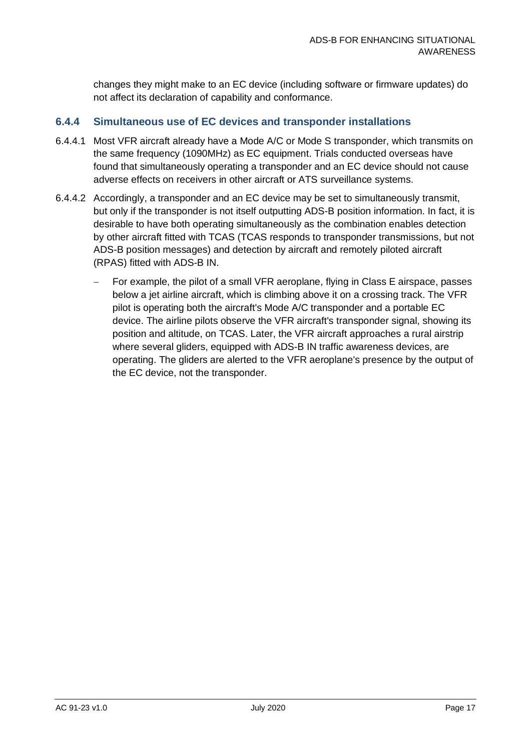changes they might make to an EC device (including software or firmware updates) do not affect its declaration of capability and conformance.

#### **6.4.4 Simultaneous use of EC devices and transponder installations**

- 6.4.4.1 Most VFR aircraft already have a Mode A/C or Mode S transponder, which transmits on the same frequency (1090MHz) as EC equipment. Trials conducted overseas have found that simultaneously operating a transponder and an EC device should not cause adverse effects on receivers in other aircraft or ATS surveillance systems.
- 6.4.4.2 Accordingly, a transponder and an EC device may be set to simultaneously transmit, but only if the transponder is not itself outputting ADS-B position information. In fact, it is desirable to have both operating simultaneously as the combination enables detection by other aircraft fitted with TCAS (TCAS responds to transponder transmissions, but not ADS-B position messages) and detection by aircraft and remotely piloted aircraft (RPAS) fitted with ADS-B IN.
	- For example, the pilot of a small VFR aeroplane, flying in Class E airspace, passes below a jet airline aircraft, which is climbing above it on a crossing track. The VFR pilot is operating both the aircraft's Mode A/C transponder and a portable EC device. The airline pilots observe the VFR aircraft's transponder signal, showing its position and altitude, on TCAS. Later, the VFR aircraft approaches a rural airstrip where several gliders, equipped with ADS-B IN traffic awareness devices, are operating. The gliders are alerted to the VFR aeroplane's presence by the output of the EC device, not the transponder.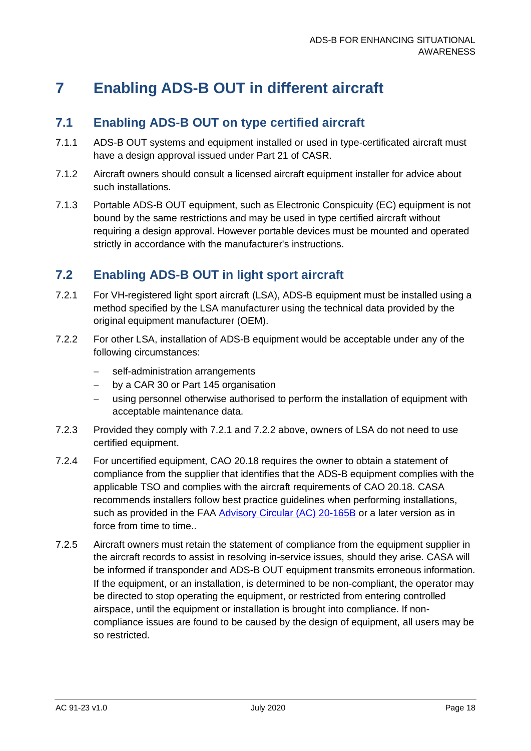### <span id="page-18-0"></span>**7 Enabling ADS-B OUT in different aircraft**

#### <span id="page-18-1"></span>**7.1 Enabling ADS-B OUT on type certified aircraft**

- 7.1.1 ADS-B OUT systems and equipment installed or used in type-certificated aircraft must have a design approval issued under Part 21 of CASR.
- 7.1.2 Aircraft owners should consult a licensed aircraft equipment installer for advice about such installations.
- 7.1.3 Portable ADS-B OUT equipment, such as Electronic Conspicuity (EC) equipment is not bound by the same restrictions and may be used in type certified aircraft without requiring a design approval. However portable devices must be mounted and operated strictly in accordance with the manufacturer's instructions.

#### <span id="page-18-2"></span>**7.2 Enabling ADS-B OUT in light sport aircraft**

- <span id="page-18-3"></span>7.2.1 For VH-registered light sport aircraft (LSA), ADS-B equipment must be installed using a method specified by the LSA manufacturer using the technical data provided by the original equipment manufacturer (OEM).
- <span id="page-18-4"></span>7.2.2 For other LSA, installation of ADS-B equipment would be acceptable under any of the following circumstances:
	- self-administration arrangements
	- by a CAR 30 or Part 145 organisation
	- using personnel otherwise authorised to perform the installation of equipment with acceptable maintenance data.
- 7.2.3 Provided they comply with [7.2.1](#page-18-3) and [7.2.2](#page-18-4) above, owners of LSA do not need to use certified equipment.
- 7.2.4 For uncertified equipment, CAO 20.18 requires the owner to obtain a statement of compliance from the supplier that identifies that the ADS-B equipment complies with the applicable TSO and complies with the aircraft requirements of CAO 20.18. CASA recommends installers follow best practice guidelines when performing installations, such as provided in the FAA [Advisory Circular \(AC\) 20-165B](https://www.faa.gov/regulations_policies/advisory_circulars/index.cfm/go/document.information/documentID/1028666) or a later version as in force from time to time...
- 7.2.5 Aircraft owners must retain the statement of compliance from the equipment supplier in the aircraft records to assist in resolving in-service issues, should they arise. CASA will be informed if transponder and ADS-B OUT equipment transmits erroneous information. If the equipment, or an installation, is determined to be non-compliant, the operator may be directed to stop operating the equipment, or restricted from entering controlled airspace, until the equipment or installation is brought into compliance. If noncompliance issues are found to be caused by the design of equipment, all users may be so restricted.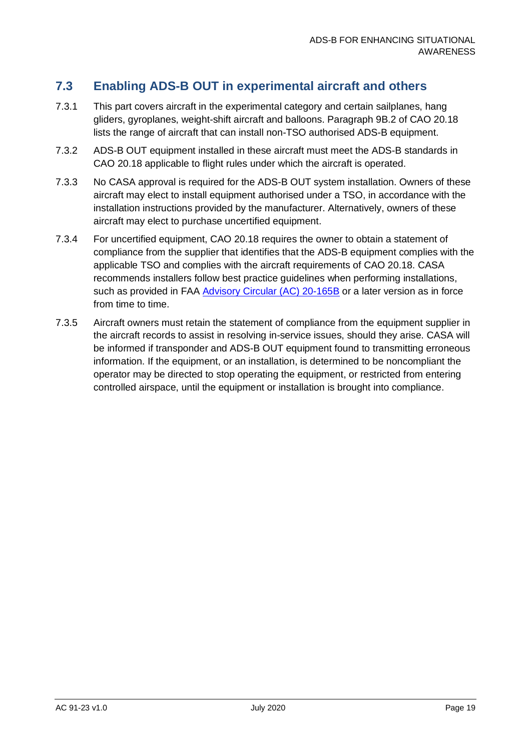#### <span id="page-19-0"></span>**7.3 Enabling ADS-B OUT in experimental aircraft and others**

- 7.3.1 This part covers aircraft in the experimental category and certain sailplanes, hang gliders, gyroplanes, weight-shift aircraft and balloons. Paragraph 9B.2 of CAO 20.18 lists the range of aircraft that can install non-TSO authorised ADS-B equipment.
- 7.3.2 ADS-B OUT equipment installed in these aircraft must meet the ADS-B standards in CAO 20.18 applicable to flight rules under which the aircraft is operated.
- 7.3.3 No CASA approval is required for the ADS-B OUT system installation. Owners of these aircraft may elect to install equipment authorised under a TSO, in accordance with the installation instructions provided by the manufacturer. Alternatively, owners of these aircraft may elect to purchase uncertified equipment.
- 7.3.4 For uncertified equipment, CAO 20.18 requires the owner to obtain a statement of compliance from the supplier that identifies that the ADS-B equipment complies with the applicable TSO and complies with the aircraft requirements of CAO 20.18. CASA recommends installers follow best practice guidelines when performing installations, such as provided in FAA [Advisory Circular \(AC\) 20-165B](https://www.faa.gov/regulations_policies/advisory_circulars/index.cfm/go/document.information/documentID/1028666) or a later version as in force from time to time.
- 7.3.5 Aircraft owners must retain the statement of compliance from the equipment supplier in the aircraft records to assist in resolving in-service issues, should they arise. CASA will be informed if transponder and ADS-B OUT equipment found to transmitting erroneous information. If the equipment, or an installation, is determined to be noncompliant the operator may be directed to stop operating the equipment, or restricted from entering controlled airspace, until the equipment or installation is brought into compliance.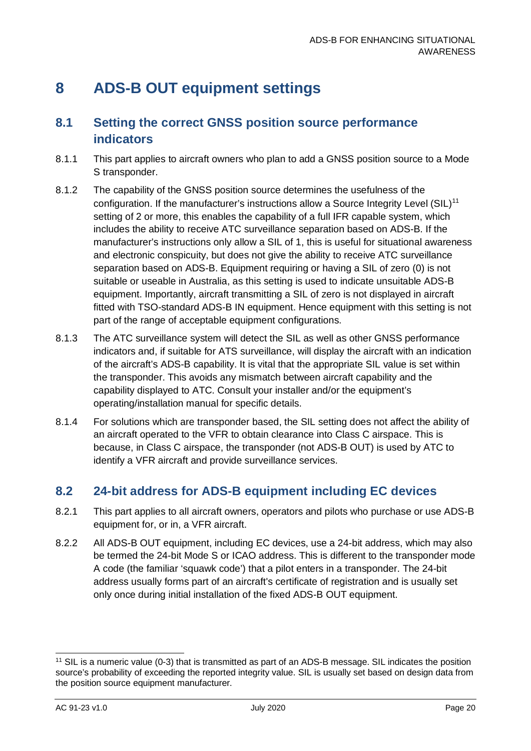### <span id="page-20-0"></span>**8 ADS-B OUT equipment settings**

#### <span id="page-20-1"></span>**8.1 Setting the correct GNSS position source performance indicators**

- 8.1.1 This part applies to aircraft owners who plan to add a GNSS position source to a Mode S transponder.
- 8.1.2 The capability of the GNSS position source determines the usefulness of the configuration. If the manufacturer's instructions allow a Source Integrity Level (SIL)<sup>[11](#page-20-3)</sup> setting of 2 or more, this enables the capability of a full IFR capable system, which includes the ability to receive ATC surveillance separation based on ADS-B. If the manufacturer's instructions only allow a SIL of 1, this is useful for situational awareness and electronic conspicuity, but does not give the ability to receive ATC surveillance separation based on ADS-B. Equipment requiring or having a SIL of zero (0) is not suitable or useable in Australia, as this setting is used to indicate unsuitable ADS-B equipment. Importantly, aircraft transmitting a SIL of zero is not displayed in aircraft fitted with TSO-standard ADS-B IN equipment. Hence equipment with this setting is not part of the range of acceptable equipment configurations.
- 8.1.3 The ATC surveillance system will detect the SIL as well as other GNSS performance indicators and, if suitable for ATS surveillance, will display the aircraft with an indication of the aircraft's ADS-B capability. It is vital that the appropriate SIL value is set within the transponder. This avoids any mismatch between aircraft capability and the capability displayed to ATC. Consult your installer and/or the equipment's operating/installation manual for specific details.
- 8.1.4 For solutions which are transponder based, the SIL setting does not affect the ability of an aircraft operated to the VFR to obtain clearance into Class C airspace. This is because, in Class C airspace, the transponder (not ADS-B OUT) is used by ATC to identify a VFR aircraft and provide surveillance services.

#### <span id="page-20-2"></span>**8.2 24-bit address for ADS-B equipment including EC devices**

- 8.2.1 This part applies to all aircraft owners, operators and pilots who purchase or use ADS-B equipment for, or in, a VFR aircraft.
- 8.2.2 All ADS-B OUT equipment, including EC devices, use a 24-bit address, which may also be termed the 24-bit Mode S or ICAO address. This is different to the transponder mode A code (the familiar 'squawk code') that a pilot enters in a transponder. The 24-bit address usually forms part of an aircraft's certificate of registration and is usually set only once during initial installation of the fixed ADS-B OUT equipment.

<span id="page-20-3"></span><sup>&</sup>lt;sup>11</sup> SIL is a numeric value (0-3) that is transmitted as part of an ADS-B message. SIL indicates the position source's probability of exceeding the reported integrity value. SIL is usually set based on design data from the position source equipment manufacturer.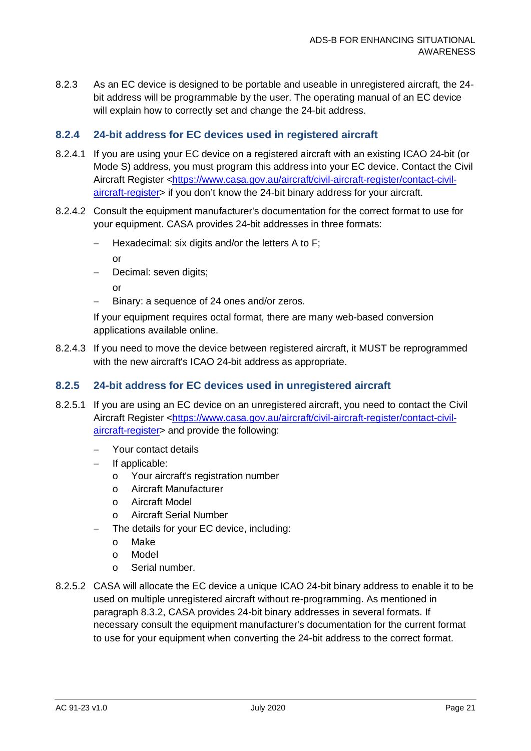8.2.3 As an EC device is designed to be portable and useable in unregistered aircraft, the 24 bit address will be programmable by the user. The operating manual of an EC device will explain how to correctly set and change the 24-bit address.

#### **8.2.4 24-bit address for EC devices used in registered aircraft**

- 8.2.4.1 If you are using your EC device on a registered aircraft with an existing ICAO 24-bit (or Mode S) address, you must program this address into your EC device. Contact the Civil Aircraft Register [<https://www.casa.gov.au/aircraft/civil-aircraft-register/contact-civil](https://www.casa.gov.au/aircraft/civil-aircraft-register/contact-civil-aircraft-register)[aircraft-register>](https://www.casa.gov.au/aircraft/civil-aircraft-register/contact-civil-aircraft-register) if you don't know the 24-bit binary address for your aircraft.
- <span id="page-21-0"></span>8.2.4.2 Consult the equipment manufacturer's documentation for the correct format to use for your equipment. CASA provides 24-bit addresses in three formats:
	- − Hexadecimal: six digits and/or the letters A to F;

or

− Decimal: seven digits;

or

Binary: a sequence of 24 ones and/or zeros.

If your equipment requires octal format, there are many web-based conversion applications available online.

8.2.4.3 If you need to move the device between registered aircraft, it MUST be reprogrammed with the new aircraft's ICAO 24-bit address as appropriate.

#### **8.2.5 24-bit address for EC devices used in unregistered aircraft**

- 8.2.5.1 If you are using an EC device on an unregistered aircraft, you need to contact the Civil Aircraft Register [<https://www.casa.gov.au/aircraft/civil-aircraft-register/contact-civil](https://www.casa.gov.au/aircraft/civil-aircraft-register/contact-civil-aircraft-register)[aircraft-register>](https://www.casa.gov.au/aircraft/civil-aircraft-register/contact-civil-aircraft-register) and provide the following:
	- Your contact details
	- − If applicable:
		- o Your aircraft's registration number
		- o Aircraft Manufacturer
		- o Aircraft Model
		- o Aircraft Serial Number
		- The details for your EC device, including:
		- o Make
		- o Model
		- o Serial number.
- 8.2.5.2 CASA will allocate the EC device a unique ICAO 24-bit binary address to enable it to be used on multiple unregistered aircraft without re-programming. As mentioned in paragraph [8.3.2,](#page-21-0) CASA provides 24-bit binary addresses in several formats. If necessary consult the equipment manufacturer's documentation for the current format to use for your equipment when converting the 24-bit address to the correct format.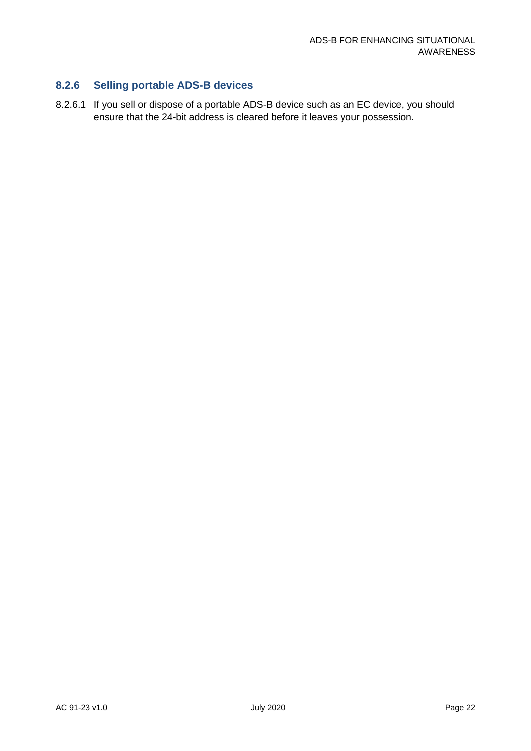#### **8.2.6 Selling portable ADS-B devices**

8.2.6.1 If you sell or dispose of a portable ADS-B device such as an EC device, you should ensure that the 24-bit address is cleared before it leaves your possession.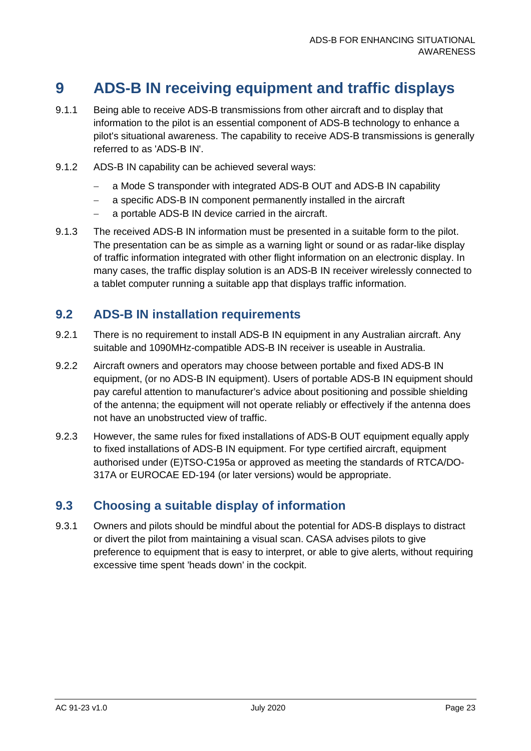### <span id="page-23-0"></span>**9 ADS-B IN receiving equipment and traffic displays**

- 9.1.1 Being able to receive ADS-B transmissions from other aircraft and to display that information to the pilot is an essential component of ADS-B technology to enhance a pilot's situational awareness. The capability to receive ADS-B transmissions is generally referred to as 'ADS-B IN'.
- 9.1.2 ADS-B IN capability can be achieved several ways:
	- − a Mode S transponder with integrated ADS-B OUT and ADS-B IN capability
	- a specific ADS-B IN component permanently installed in the aircraft
	- − a portable ADS-B IN device carried in the aircraft.
- 9.1.3 The received ADS-B IN information must be presented in a suitable form to the pilot. The presentation can be as simple as a warning light or sound or as radar-like display of traffic information integrated with other flight information on an electronic display. In many cases, the traffic display solution is an ADS-B IN receiver wirelessly connected to a tablet computer running a suitable app that displays traffic information.

#### <span id="page-23-1"></span>**9.2 ADS-B IN installation requirements**

- 9.2.1 There is no requirement to install ADS-B IN equipment in any Australian aircraft. Any suitable and 1090MHz-compatible ADS-B IN receiver is useable in Australia.
- 9.2.2 Aircraft owners and operators may choose between portable and fixed ADS-B IN equipment, (or no ADS-B IN equipment). Users of portable ADS-B IN equipment should pay careful attention to manufacturer's advice about positioning and possible shielding of the antenna; the equipment will not operate reliably or effectively if the antenna does not have an unobstructed view of traffic.
- 9.2.3 However, the same rules for fixed installations of ADS-B OUT equipment equally apply to fixed installations of ADS-B IN equipment. For type certified aircraft, equipment authorised under (E)TSO-C195a or approved as meeting the standards of RTCA/DO-317A or EUROCAE ED-194 (or later versions) would be appropriate.

#### <span id="page-23-2"></span>**9.3 Choosing a suitable display of information**

9.3.1 Owners and pilots should be mindful about the potential for ADS-B displays to distract or divert the pilot from maintaining a visual scan. CASA advises pilots to give preference to equipment that is easy to interpret, or able to give alerts, without requiring excessive time spent 'heads down' in the cockpit.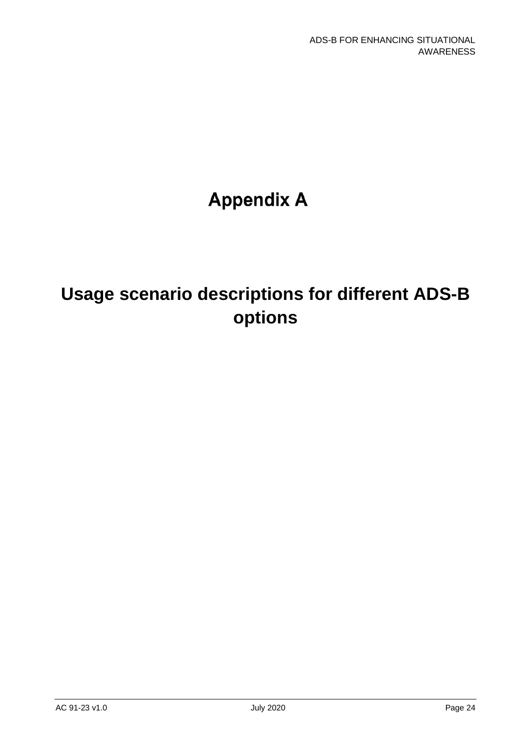# **Appendix A**

# **Usage scenario descriptions for different ADS-B options**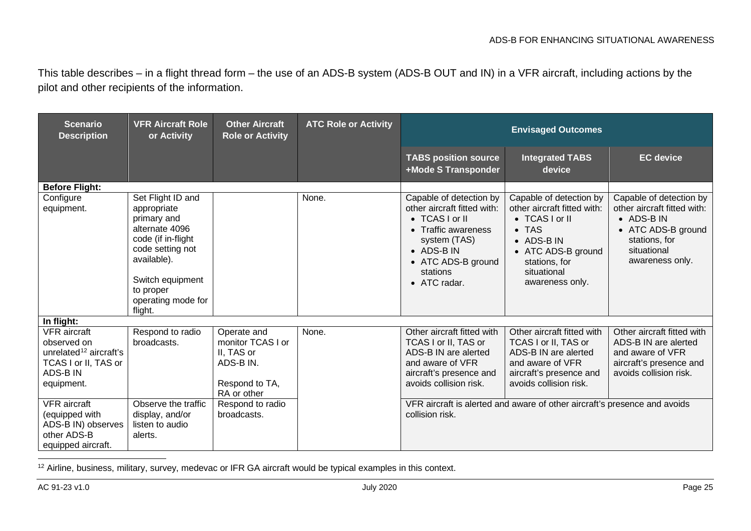<span id="page-25-0"></span>This table describes – in a flight thread form – the use of an ADS-B system (ADS-B OUT and IN) in a VFR aircraft, including actions by the pilot and other recipients of the information.

| <b>Scenario</b><br><b>Description</b>                                                                                            | <b>VFR Aircraft Role</b><br>or Activity                                                                                                                                                      | <b>Other Aircraft</b><br><b>Role or Activity</b>                                             | <b>ATC Role or Activity</b> | <b>Envisaged Outcomes</b>                                                                                                                                                       |                                                                                                                                                                                  |                                                                                                                                               |
|----------------------------------------------------------------------------------------------------------------------------------|----------------------------------------------------------------------------------------------------------------------------------------------------------------------------------------------|----------------------------------------------------------------------------------------------|-----------------------------|---------------------------------------------------------------------------------------------------------------------------------------------------------------------------------|----------------------------------------------------------------------------------------------------------------------------------------------------------------------------------|-----------------------------------------------------------------------------------------------------------------------------------------------|
|                                                                                                                                  |                                                                                                                                                                                              |                                                                                              |                             | <b>TABS position source</b><br>+Mode S Transponder                                                                                                                              | <b>Integrated TABS</b><br>device                                                                                                                                                 | <b>EC</b> device                                                                                                                              |
| <b>Before Flight:</b>                                                                                                            |                                                                                                                                                                                              |                                                                                              |                             |                                                                                                                                                                                 |                                                                                                                                                                                  |                                                                                                                                               |
| Configure<br>equipment.                                                                                                          | Set Flight ID and<br>appropriate<br>primary and<br>alternate 4096<br>code (if in-flight<br>code setting not<br>available).<br>Switch equipment<br>to proper<br>operating mode for<br>flight. |                                                                                              | None.                       | Capable of detection by<br>other aircraft fitted with:<br>• TCAS I or II<br>• Traffic awareness<br>system (TAS)<br>• ADS-B IN<br>• ATC ADS-B ground<br>stations<br>• ATC radar. | Capable of detection by<br>other aircraft fitted with:<br>• TCAS I or II<br>$\bullet$ TAS<br>• ADS-B IN<br>• ATC ADS-B ground<br>stations, for<br>situational<br>awareness only. | Capable of detection by<br>other aircraft fitted with:<br>• ADS-B IN<br>• ATC ADS-B ground<br>stations, for<br>situational<br>awareness only. |
| In flight:                                                                                                                       |                                                                                                                                                                                              |                                                                                              |                             |                                                                                                                                                                                 |                                                                                                                                                                                  |                                                                                                                                               |
| <b>VFR</b> aircraft<br>observed on<br>unrelated <sup>12</sup> aircraft's<br>TCAS I or II, TAS or<br><b>ADS-BIN</b><br>equipment. | Respond to radio<br>broadcasts.                                                                                                                                                              | Operate and<br>monitor TCAS I or<br>II, TAS or<br>ADS-B IN.<br>Respond to TA,<br>RA or other | None.                       | Other aircraft fitted with<br>TCAS I or II, TAS or<br>ADS-B IN are alerted<br>and aware of VFR<br>aircraft's presence and<br>avoids collision risk.                             | Other aircraft fitted with<br>TCAS I or II, TAS or<br>ADS-B IN are alerted<br>and aware of VFR<br>aircraft's presence and<br>avoids collision risk.                              | Other aircraft fitted with<br>ADS-B IN are alerted<br>and aware of VFR<br>aircraft's presence and<br>avoids collision risk.                   |
| <b>VFR</b> aircraft<br>(equipped with<br>ADS-B IN) observes<br>other ADS-B<br>equipped aircraft.                                 | Observe the traffic<br>display, and/or<br>listen to audio<br>alerts.                                                                                                                         | Respond to radio<br>broadcasts.                                                              |                             | collision risk.                                                                                                                                                                 | VFR aircraft is alerted and aware of other aircraft's presence and avoids                                                                                                        |                                                                                                                                               |

<sup>&</sup>lt;sup>12</sup> Airline, business, military, survey, medevac or IFR GA aircraft would be typical examples in this context.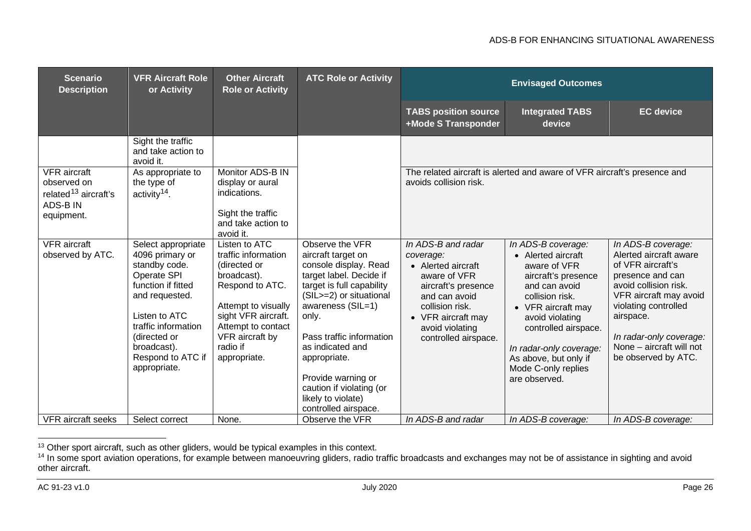#### <span id="page-26-1"></span><span id="page-26-0"></span>ADS-B FOR ENHANCING SITUATIONAL AWARENESS

| <b>Scenario</b><br><b>Description</b>                                                            | <b>VFR Aircraft Role</b><br>or Activity                                                                                                                                                                                                     | <b>Other Aircraft</b><br><b>Role or Activity</b>                                                                                                                                                                   | <b>ATC Role or Activity</b>                                                                                                                                                                                                                                                                                                                                        | <b>Envisaged Outcomes</b>                                                                                                                                                                                               |                                                                                                                                                                                                                                                                                                        |                                                                                                                                                                                                                                                                                   |
|--------------------------------------------------------------------------------------------------|---------------------------------------------------------------------------------------------------------------------------------------------------------------------------------------------------------------------------------------------|--------------------------------------------------------------------------------------------------------------------------------------------------------------------------------------------------------------------|--------------------------------------------------------------------------------------------------------------------------------------------------------------------------------------------------------------------------------------------------------------------------------------------------------------------------------------------------------------------|-------------------------------------------------------------------------------------------------------------------------------------------------------------------------------------------------------------------------|--------------------------------------------------------------------------------------------------------------------------------------------------------------------------------------------------------------------------------------------------------------------------------------------------------|-----------------------------------------------------------------------------------------------------------------------------------------------------------------------------------------------------------------------------------------------------------------------------------|
|                                                                                                  |                                                                                                                                                                                                                                             |                                                                                                                                                                                                                    |                                                                                                                                                                                                                                                                                                                                                                    | <b>TABS position source</b><br>+Mode S Transponder                                                                                                                                                                      | <b>Integrated TABS</b><br>device                                                                                                                                                                                                                                                                       | <b>EC</b> device                                                                                                                                                                                                                                                                  |
|                                                                                                  | Sight the traffic<br>and take action to<br>avoid it.                                                                                                                                                                                        |                                                                                                                                                                                                                    |                                                                                                                                                                                                                                                                                                                                                                    |                                                                                                                                                                                                                         |                                                                                                                                                                                                                                                                                                        |                                                                                                                                                                                                                                                                                   |
| <b>VFR</b> aircraft<br>observed on<br>related <sup>13</sup> aircraft's<br>ADS-B IN<br>equipment. | As appropriate to<br>the type of<br>activity <sup>14</sup> .                                                                                                                                                                                | Monitor ADS-B IN<br>display or aural<br>indications.<br>Sight the traffic<br>and take action to<br>avoid it.                                                                                                       |                                                                                                                                                                                                                                                                                                                                                                    | The related aircraft is alerted and aware of VFR aircraft's presence and<br>avoids collision risk.                                                                                                                      |                                                                                                                                                                                                                                                                                                        |                                                                                                                                                                                                                                                                                   |
| <b>VFR</b> aircraft<br>observed by ATC.<br><b>VFR</b> aircraft seeks                             | Select appropriate<br>4096 primary or<br>standby code.<br>Operate SPI<br>function if fitted<br>and requested.<br>Listen to ATC<br>traffic information<br>(directed or<br>broadcast).<br>Respond to ATC if<br>appropriate.<br>Select correct | Listen to ATC<br>traffic information<br>(directed or<br>broadcast).<br>Respond to ATC.<br>Attempt to visually<br>sight VFR aircraft.<br>Attempt to contact<br>VFR aircraft by<br>radio if<br>appropriate.<br>None. | Observe the VFR<br>aircraft target on<br>console display. Read<br>target label. Decide if<br>target is full capability<br>(SIL>=2) or situational<br>awareness (SIL=1)<br>only.<br>Pass traffic information<br>as indicated and<br>appropriate.<br>Provide warning or<br>caution if violating (or<br>likely to violate)<br>controlled airspace.<br>Observe the VFR | In ADS-B and radar<br>coverage:<br>• Alerted aircraft<br>aware of VFR<br>aircraft's presence<br>and can avoid<br>collision risk.<br>• VFR aircraft may<br>avoid violating<br>controlled airspace.<br>In ADS-B and radar | In ADS-B coverage:<br>• Alerted aircraft<br>aware of VFR<br>aircraft's presence<br>and can avoid<br>collision risk.<br>• VFR aircraft may<br>avoid violating<br>controlled airspace.<br>In radar-only coverage:<br>As above, but only if<br>Mode C-only replies<br>are observed.<br>In ADS-B coverage: | In ADS-B coverage:<br>Alerted aircraft aware<br>of VFR aircraft's<br>presence and can<br>avoid collision risk.<br>VFR aircraft may avoid<br>violating controlled<br>airspace.<br>In radar-only coverage:<br>None - aircraft will not<br>be observed by ATC.<br>In ADS-B coverage: |

 $13$  Other sport aircraft, such as other gliders, would be typical examples in this context.

<sup>&</sup>lt;sup>14</sup> In some sport aviation operations, for example between manoeuvring gliders, radio traffic broadcasts and exchanges may not be of assistance in sighting and avoid other aircraft.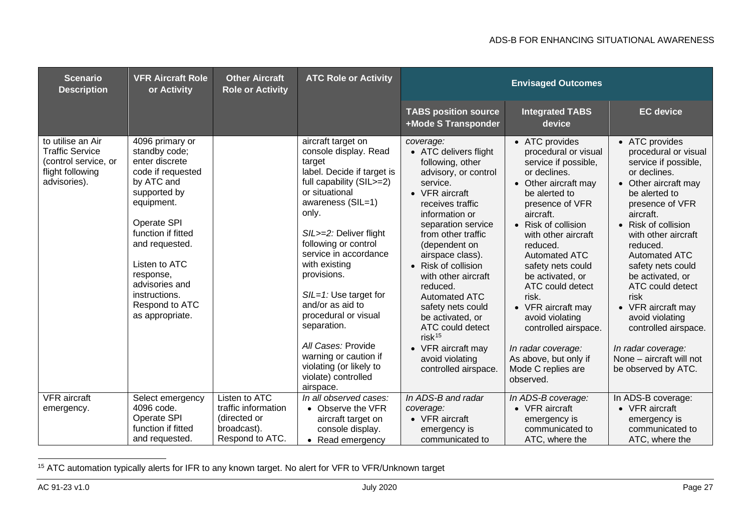<span id="page-27-0"></span>

| <b>Scenario</b><br><b>Description</b>                                                                   | <b>VFR Aircraft Role</b><br>or Activity                                                                                                                                                                                                                                          | <b>Other Aircraft</b><br><b>Role or Activity</b> | <b>ATC Role or Activity</b>                                                                                                                                                                                                                                                                                                                                                                                                                                                     | <b>Envisaged Outcomes</b>                                                                                                                                                                                                                                                                                                                                                                                                                                          |                                                                                                                                                                                                                                                                                                                                                                                                                                                                    |                                                                                                                                                                                                                                                                                                                                                                                                                                                          |
|---------------------------------------------------------------------------------------------------------|----------------------------------------------------------------------------------------------------------------------------------------------------------------------------------------------------------------------------------------------------------------------------------|--------------------------------------------------|---------------------------------------------------------------------------------------------------------------------------------------------------------------------------------------------------------------------------------------------------------------------------------------------------------------------------------------------------------------------------------------------------------------------------------------------------------------------------------|--------------------------------------------------------------------------------------------------------------------------------------------------------------------------------------------------------------------------------------------------------------------------------------------------------------------------------------------------------------------------------------------------------------------------------------------------------------------|--------------------------------------------------------------------------------------------------------------------------------------------------------------------------------------------------------------------------------------------------------------------------------------------------------------------------------------------------------------------------------------------------------------------------------------------------------------------|----------------------------------------------------------------------------------------------------------------------------------------------------------------------------------------------------------------------------------------------------------------------------------------------------------------------------------------------------------------------------------------------------------------------------------------------------------|
|                                                                                                         |                                                                                                                                                                                                                                                                                  |                                                  |                                                                                                                                                                                                                                                                                                                                                                                                                                                                                 | <b>TABS position source</b><br>+Mode S Transponder                                                                                                                                                                                                                                                                                                                                                                                                                 | <b>Integrated TABS</b><br>device                                                                                                                                                                                                                                                                                                                                                                                                                                   | <b>EC</b> device                                                                                                                                                                                                                                                                                                                                                                                                                                         |
| to utilise an Air<br><b>Traffic Service</b><br>(control service, or<br>flight following<br>advisories). | 4096 primary or<br>standby code;<br>enter discrete<br>code if requested<br>by ATC and<br>supported by<br>equipment.<br>Operate SPI<br>function if fitted<br>and requested.<br>Listen to ATC<br>response,<br>advisories and<br>instructions.<br>Respond to ATC<br>as appropriate. |                                                  | aircraft target on<br>console display. Read<br>target<br>label. Decide if target is<br>full capability (SIL>=2)<br>or situational<br>awareness (SIL=1)<br>only.<br>SIL>=2: Deliver flight<br>following or control<br>service in accordance<br>with existing<br>provisions.<br>$S/L=1$ : Use target for<br>and/or as aid to<br>procedural or visual<br>separation.<br>All Cases: Provide<br>warning or caution if<br>violating (or likely to<br>violate) controlled<br>airspace. | coverage:<br>• ATC delivers flight<br>following, other<br>advisory, or control<br>service.<br>• VFR aircraft<br>receives traffic<br>information or<br>separation service<br>from other traffic<br>(dependent on<br>airspace class).<br>• Risk of collision<br>with other aircraft<br>reduced.<br><b>Automated ATC</b><br>safety nets could<br>be activated, or<br>ATC could detect<br>$risk^{15}$<br>• VFR aircraft may<br>avoid violating<br>controlled airspace. | • ATC provides<br>procedural or visual<br>service if possible,<br>or declines.<br>• Other aircraft may<br>be alerted to<br>presence of VFR<br>aircraft.<br>• Risk of collision<br>with other aircraft<br>reduced.<br><b>Automated ATC</b><br>safety nets could<br>be activated, or<br>ATC could detect<br>risk.<br>• VFR aircraft may<br>avoid violating<br>controlled airspace.<br>In radar coverage:<br>As above, but only if<br>Mode C replies are<br>observed. | • ATC provides<br>procedural or visual<br>service if possible,<br>or declines.<br>• Other aircraft may<br>be alerted to<br>presence of VFR<br>aircraft.<br>• Risk of collision<br>with other aircraft<br>reduced.<br><b>Automated ATC</b><br>safety nets could<br>be activated, or<br>ATC could detect<br>risk<br>• VFR aircraft may<br>avoid violating<br>controlled airspace.<br>In radar coverage:<br>None - aircraft will not<br>be observed by ATC. |
| <b>VFR</b> aircraft<br>emergency.                                                                       | Select emergency<br>4096 code.                                                                                                                                                                                                                                                   | Listen to ATC<br>traffic information             | In all observed cases:<br>• Observe the VFR                                                                                                                                                                                                                                                                                                                                                                                                                                     | In ADS-B and radar<br>coverage:                                                                                                                                                                                                                                                                                                                                                                                                                                    | In ADS-B coverage:<br>• VFR aircraft                                                                                                                                                                                                                                                                                                                                                                                                                               | In ADS-B coverage:<br>• VFR aircraft                                                                                                                                                                                                                                                                                                                                                                                                                     |
|                                                                                                         | Operate SPI<br>function if fitted                                                                                                                                                                                                                                                | (directed or<br>broadcast).                      | aircraft target on<br>console display.                                                                                                                                                                                                                                                                                                                                                                                                                                          | $\bullet$ VFR aircraft<br>emergency is                                                                                                                                                                                                                                                                                                                                                                                                                             | emergency is<br>communicated to                                                                                                                                                                                                                                                                                                                                                                                                                                    | emergency is<br>communicated to                                                                                                                                                                                                                                                                                                                                                                                                                          |
|                                                                                                         | and requested.                                                                                                                                                                                                                                                                   | Respond to ATC.                                  | • Read emergency                                                                                                                                                                                                                                                                                                                                                                                                                                                                | communicated to                                                                                                                                                                                                                                                                                                                                                                                                                                                    | ATC, where the                                                                                                                                                                                                                                                                                                                                                                                                                                                     | ATC, where the                                                                                                                                                                                                                                                                                                                                                                                                                                           |

<sup>&</sup>lt;sup>15</sup> ATC automation typically alerts for IFR to any known target. No alert for VFR to VFR/Unknown target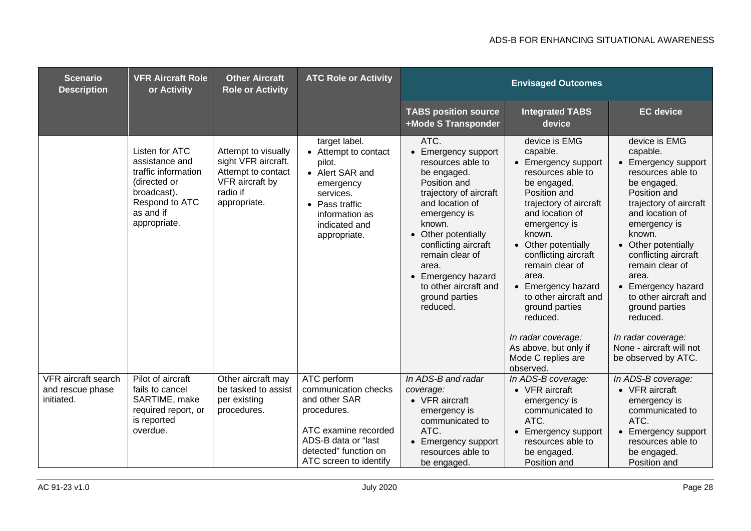| <b>Scenario</b><br><b>Description</b>                 | <b>VFR Aircraft Role</b><br>or Activity                                                                                               | <b>Other Aircraft</b><br><b>Role or Activity</b>                                                                | <b>ATC Role or Activity</b>                                                                                                                                           | <b>Envisaged Outcomes</b>                                                                                                                                                                                                                                                                                      |                                                                                                                                                                                                                                                                                                                                                                                                                       |                                                                                                                                                                                                                                                                                                                                                                                                              |
|-------------------------------------------------------|---------------------------------------------------------------------------------------------------------------------------------------|-----------------------------------------------------------------------------------------------------------------|-----------------------------------------------------------------------------------------------------------------------------------------------------------------------|----------------------------------------------------------------------------------------------------------------------------------------------------------------------------------------------------------------------------------------------------------------------------------------------------------------|-----------------------------------------------------------------------------------------------------------------------------------------------------------------------------------------------------------------------------------------------------------------------------------------------------------------------------------------------------------------------------------------------------------------------|--------------------------------------------------------------------------------------------------------------------------------------------------------------------------------------------------------------------------------------------------------------------------------------------------------------------------------------------------------------------------------------------------------------|
|                                                       |                                                                                                                                       |                                                                                                                 |                                                                                                                                                                       | <b>TABS position source</b><br>+Mode S Transponder                                                                                                                                                                                                                                                             | <b>Integrated TABS</b><br>device                                                                                                                                                                                                                                                                                                                                                                                      | <b>EC</b> device                                                                                                                                                                                                                                                                                                                                                                                             |
|                                                       | Listen for ATC<br>assistance and<br>traffic information<br>(directed or<br>broadcast).<br>Respond to ATC<br>as and if<br>appropriate. | Attempt to visually<br>sight VFR aircraft.<br>Attempt to contact<br>VFR aircraft by<br>radio if<br>appropriate. | target label.<br>• Attempt to contact<br>pilot.<br>• Alert SAR and<br>emergency<br>services.<br>• Pass traffic<br>information as<br>indicated and<br>appropriate.     | ATC.<br>• Emergency support<br>resources able to<br>be engaged.<br>Position and<br>trajectory of aircraft<br>and location of<br>emergency is<br>known.<br>• Other potentially<br>conflicting aircraft<br>remain clear of<br>area.<br>• Emergency hazard<br>to other aircraft and<br>ground parties<br>reduced. | device is EMG<br>capable.<br>• Emergency support<br>resources able to<br>be engaged.<br>Position and<br>trajectory of aircraft<br>and location of<br>emergency is<br>known.<br>• Other potentially<br>conflicting aircraft<br>remain clear of<br>area.<br>• Emergency hazard<br>to other aircraft and<br>ground parties<br>reduced.<br>In radar coverage:<br>As above, but only if<br>Mode C replies are<br>observed. | device is EMG<br>capable.<br>• Emergency support<br>resources able to<br>be engaged.<br>Position and<br>trajectory of aircraft<br>and location of<br>emergency is<br>known.<br>• Other potentially<br>conflicting aircraft<br>remain clear of<br>area.<br>• Emergency hazard<br>to other aircraft and<br>ground parties<br>reduced.<br>In radar coverage:<br>None - aircraft will not<br>be observed by ATC. |
| VFR aircraft search<br>and rescue phase<br>initiated. | Pilot of aircraft<br>fails to cancel<br>SARTIME, make<br>required report, or<br>is reported<br>overdue.                               | Other aircraft may<br>be tasked to assist<br>per existing<br>procedures.                                        | ATC perform<br>communication checks<br>and other SAR<br>procedures.<br>ATC examine recorded<br>ADS-B data or "last<br>detected" function on<br>ATC screen to identify | In ADS-B and radar<br>coverage:<br>• VFR aircraft<br>emergency is<br>communicated to<br>ATC.<br><b>Emergency support</b><br>resources able to<br>be engaged.                                                                                                                                                   | In ADS-B coverage:<br>• VFR aircraft<br>emergency is<br>communicated to<br>ATC.<br>• Emergency support<br>resources able to<br>be engaged.<br>Position and                                                                                                                                                                                                                                                            | In ADS-B coverage:<br>• VFR aircraft<br>emergency is<br>communicated to<br>ATC.<br>• Emergency support<br>resources able to<br>be engaged.<br>Position and                                                                                                                                                                                                                                                   |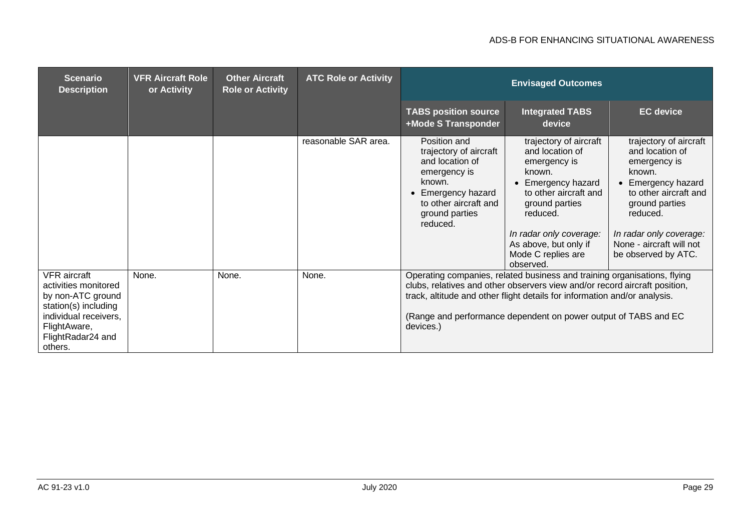#### ADS-B FOR ENHANCING SITUATIONAL AWARENESS

| <b>Scenario</b><br><b>Description</b>                                                                                                                             | <b>VFR Aircraft Role</b><br>or Activity | <b>Other Aircraft</b><br><b>Role or Activity</b> | <b>ATC Role or Activity</b> | <b>Envisaged Outcomes</b>                                                                                                                                                                                                                                                                                           |                                                                                                                                                                                                                                       |                                                                                                                                                                                                                              |
|-------------------------------------------------------------------------------------------------------------------------------------------------------------------|-----------------------------------------|--------------------------------------------------|-----------------------------|---------------------------------------------------------------------------------------------------------------------------------------------------------------------------------------------------------------------------------------------------------------------------------------------------------------------|---------------------------------------------------------------------------------------------------------------------------------------------------------------------------------------------------------------------------------------|------------------------------------------------------------------------------------------------------------------------------------------------------------------------------------------------------------------------------|
|                                                                                                                                                                   |                                         |                                                  |                             | <b>TABS position source</b><br>+Mode S Transponder                                                                                                                                                                                                                                                                  | <b>Integrated TABS</b><br>device                                                                                                                                                                                                      | <b>EC</b> device                                                                                                                                                                                                             |
|                                                                                                                                                                   |                                         |                                                  | reasonable SAR area.        | Position and<br>trajectory of aircraft<br>and location of<br>emergency is<br>known.<br>Emergency hazard<br>$\bullet$<br>to other aircraft and<br>ground parties<br>reduced.                                                                                                                                         | trajectory of aircraft<br>and location of<br>emergency is<br>known.<br>Emergency hazard<br>to other aircraft and<br>ground parties<br>reduced.<br>In radar only coverage:<br>As above, but only if<br>Mode C replies are<br>observed. | trajectory of aircraft<br>and location of<br>emergency is<br>known.<br>Emergency hazard<br>to other aircraft and<br>ground parties<br>reduced.<br>In radar only coverage:<br>None - aircraft will not<br>be observed by ATC. |
| <b>VFR</b> aircraft<br>activities monitored<br>by non-ATC ground<br>station(s) including<br>individual receivers,<br>FlightAware,<br>FlightRadar24 and<br>others. | None.                                   | None.                                            | None.                       | Operating companies, related business and training organisations, flying<br>clubs, relatives and other observers view and/or record aircraft position,<br>track, altitude and other flight details for information and/or analysis.<br>(Range and performance dependent on power output of TABS and EC<br>devices.) |                                                                                                                                                                                                                                       |                                                                                                                                                                                                                              |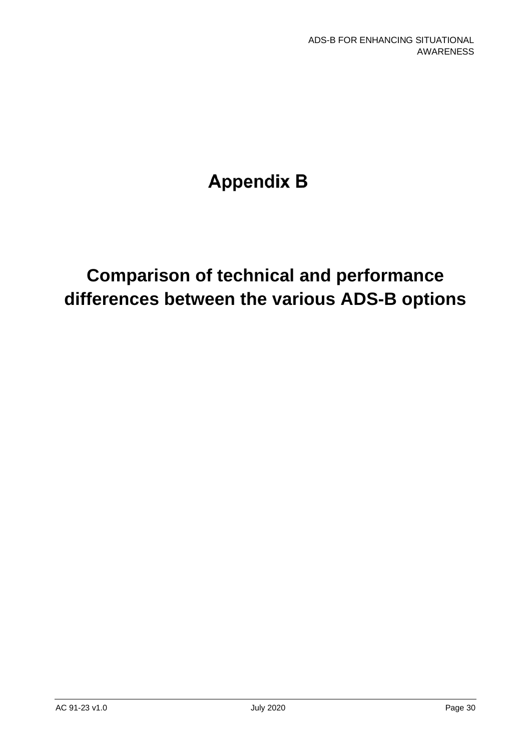# **Appendix B**

## **Comparison of technical and performance differences between the various ADS-B options**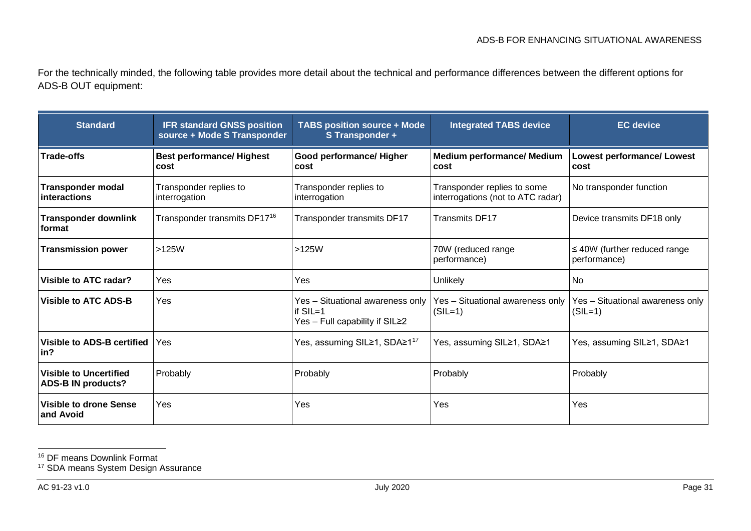<span id="page-31-1"></span><span id="page-31-0"></span>For the technically minded, the following table provides more detail about the technical and performance differences between the different options for ADS-B OUT equipment:

| <b>Standard</b>                                            | <b>IFR standard GNSS position</b><br>source + Mode S Transponder | <b>TABS position source + Mode</b><br>S Transponder +                            | <b>Integrated TABS device</b>                                    | <b>EC</b> device                                  |
|------------------------------------------------------------|------------------------------------------------------------------|----------------------------------------------------------------------------------|------------------------------------------------------------------|---------------------------------------------------|
| <b>Trade-offs</b>                                          | <b>Best performance/ Highest</b><br>cost                         | <b>Good performance/ Higher</b><br>cost                                          | <b>Medium performance/ Medium</b><br>cost                        | <b>Lowest performance/ Lowest</b><br>cost         |
| <b>Transponder modal</b><br>interactions                   | Transponder replies to<br>interrogation                          | Transponder replies to<br>interrogation                                          | Transponder replies to some<br>interrogations (not to ATC radar) | No transponder function                           |
| <b>Transponder downlink</b><br>format                      | Transponder transmits DF17 <sup>16</sup>                         | Transponder transmits DF17                                                       | <b>Transmits DF17</b>                                            | Device transmits DF18 only                        |
| <b>Transmission power</b>                                  | >125W                                                            | $>125W$                                                                          | 70W (reduced range<br>performance)                               | $\leq 40W$ (further reduced range<br>performance) |
| Visible to ATC radar?                                      | Yes                                                              | Yes                                                                              | Unlikely                                                         | <b>No</b>                                         |
| <b>Visible to ATC ADS-B</b>                                | Yes                                                              | Yes - Situational awareness only<br>if $SIL=1$<br>Yes - Full capability if SIL≥2 | Yes - Situational awareness only<br>$(SIL=1)$                    | Yes - Situational awareness only<br>$(SIL=1)$     |
| Visible to ADS-B certified<br>in?                          | Yes                                                              | Yes, assuming SIL≥1, SDA≥1 <sup>17</sup>                                         | Yes, assuming SIL≥1, SDA≥1                                       | Yes, assuming SIL≥1, SDA≥1                        |
| <b>Visible to Uncertified</b><br><b>ADS-B IN products?</b> | Probably                                                         | Probably                                                                         | Probably                                                         | Probably                                          |
| <b>Visible to drone Sense</b><br>and Avoid                 | Yes                                                              | Yes                                                                              | Yes                                                              | Yes                                               |

<sup>16</sup> DF means Downlink Format

<sup>&</sup>lt;sup>17</sup> SDA means System Design Assurance